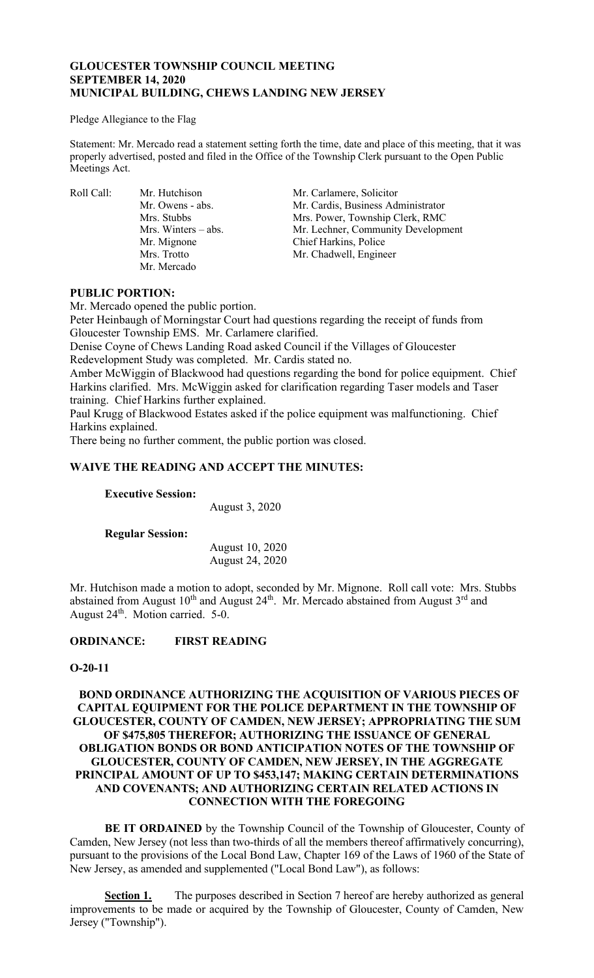# **GLOUCESTER TOWNSHIP COUNCIL MEETING SEPTEMBER 14, 2020 MUNICIPAL BUILDING, CHEWS LANDING NEW JERSEY**

#### Pledge Allegiance to the Flag

Statement: Mr. Mercado read a statement setting forth the time, date and place of this meeting, that it was properly advertised, posted and filed in the Office of the Township Clerk pursuant to the Open Public Meetings Act.

Mr. Mignone Mr. Mercado

Roll Call: Mr. Hutchison Mr. Carlamere, Solicitor Mr. Owens - abs. Mr. Cardis, Business Administrator<br>Mrs. Stubbs Mrs. Power, Township Clerk, RMC Mrs. Stubbs Mrs. Power, Township Clerk, RMC<br>Mrs. Winters – abs. Mr. Lechner, Community Developm Mr. Lechner, Community Development<br>Chief Harkins, Police Mrs. Trotto Mr. Chadwell, Engineer

## **PUBLIC PORTION:**

Mr. Mercado opened the public portion.

Peter Heinbaugh of Morningstar Court had questions regarding the receipt of funds from Gloucester Township EMS. Mr. Carlamere clarified.

Denise Coyne of Chews Landing Road asked Council if the Villages of Gloucester Redevelopment Study was completed. Mr. Cardis stated no.

Amber McWiggin of Blackwood had questions regarding the bond for police equipment. Chief Harkins clarified. Mrs. McWiggin asked for clarification regarding Taser models and Taser training. Chief Harkins further explained.

Paul Krugg of Blackwood Estates asked if the police equipment was malfunctioning. Chief Harkins explained.

There being no further comment, the public portion was closed.

# **WAIVE THE READING AND ACCEPT THE MINUTES:**

**Executive Session:**

August 3, 2020

**Regular Session:**

August 10, 2020 August 24, 2020

Mr. Hutchison made a motion to adopt, seconded by Mr. Mignone. Roll call vote: Mrs. Stubbs abstained from August  $10^{th}$  and August  $24^{th}$ . Mr. Mercado abstained from August  $3^{rd}$  and August 24<sup>th</sup>. Motion carried. 5-0.

**ORDINANCE: FIRST READING**

# **O-20-11**

# **BOND ORDINANCE AUTHORIZING THE ACQUISITION OF VARIOUS PIECES OF CAPITAL EQUIPMENT FOR THE POLICE DEPARTMENT IN THE TOWNSHIP OF GLOUCESTER, COUNTY OF CAMDEN, NEW JERSEY; APPROPRIATING THE SUM OF \$475,805 THEREFOR; AUTHORIZING THE ISSUANCE OF GENERAL OBLIGATION BONDS OR BOND ANTICIPATION NOTES OF THE TOWNSHIP OF GLOUCESTER, COUNTY OF CAMDEN, NEW JERSEY, IN THE AGGREGATE PRINCIPAL AMOUNT OF UP TO \$453,147; MAKING CERTAIN DETERMINATIONS AND COVENANTS; AND AUTHORIZING CERTAIN RELATED ACTIONS IN CONNECTION WITH THE FOREGOING**

**BE IT ORDAINED** by the Township Council of the Township of Gloucester, County of Camden, New Jersey (not less than two-thirds of all the members thereof affirmatively concurring), pursuant to the provisions of the Local Bond Law, Chapter 169 of the Laws of 1960 of the State of New Jersey, as amended and supplemented ("Local Bond Law"), as follows:

**Section 1.** The purposes described in Section 7 hereof are hereby authorized as general improvements to be made or acquired by the Township of Gloucester, County of Camden, New Jersey ("Township").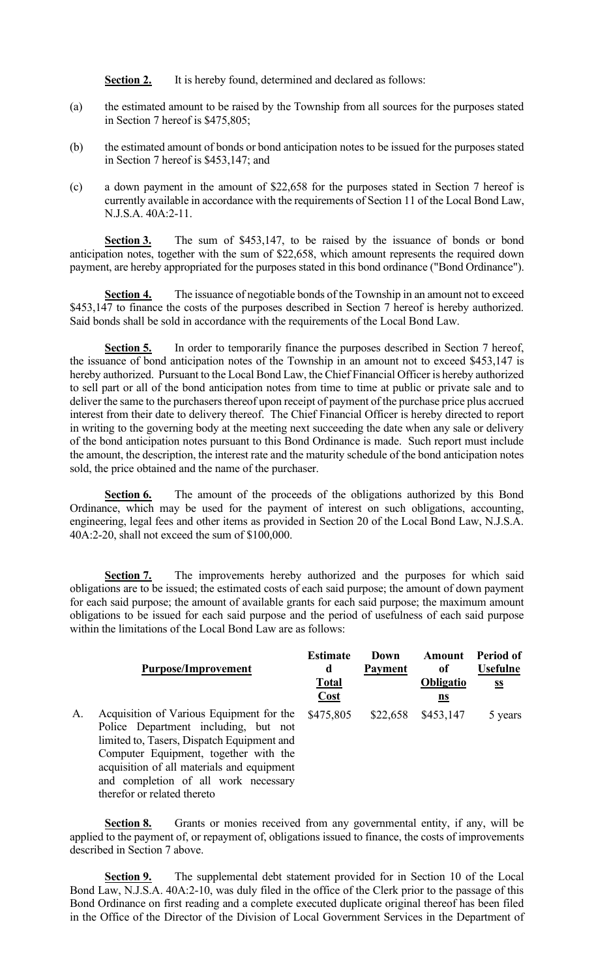**Section 2.** It is hereby found, determined and declared as follows:

- (a) the estimated amount to be raised by the Township from all sources for the purposes stated in Section 7 hereof is \$475,805;
- (b) the estimated amount of bonds or bond anticipation notes to be issued for the purposes stated in Section 7 hereof is \$453,147; and
- (c) a down payment in the amount of \$22,658 for the purposes stated in Section 7 hereof is currently available in accordance with the requirements of Section 11 of the Local Bond Law, N.J.S.A. 40A:2-11.

**Section 3.** The sum of \$453,147, to be raised by the issuance of bonds or bond anticipation notes, together with the sum of \$22,658, which amount represents the required down payment, are hereby appropriated for the purposes stated in this bond ordinance ("Bond Ordinance").

**Section 4.** The issuance of negotiable bonds of the Township in an amount not to exceed \$453,147 to finance the costs of the purposes described in Section 7 hereof is hereby authorized. Said bonds shall be sold in accordance with the requirements of the Local Bond Law.

**Section 5.** In order to temporarily finance the purposes described in Section 7 hereof, the issuance of bond anticipation notes of the Township in an amount not to exceed \$453,147 is hereby authorized. Pursuant to the Local Bond Law, the Chief Financial Officer is hereby authorized to sell part or all of the bond anticipation notes from time to time at public or private sale and to deliver the same to the purchasers thereof upon receipt of payment of the purchase price plus accrued interest from their date to delivery thereof. The Chief Financial Officer is hereby directed to report in writing to the governing body at the meeting next succeeding the date when any sale or delivery of the bond anticipation notes pursuant to this Bond Ordinance is made. Such report must include the amount, the description, the interest rate and the maturity schedule of the bond anticipation notes sold, the price obtained and the name of the purchaser.

**Section 6.** The amount of the proceeds of the obligations authorized by this Bond Ordinance, which may be used for the payment of interest on such obligations, accounting, engineering, legal fees and other items as provided in Section 20 of the Local Bond Law, N.J.S.A. 40A:2-20, shall not exceed the sum of \$100,000.

**Section 7.** The improvements hereby authorized and the purposes for which said obligations are to be issued; the estimated costs of each said purpose; the amount of down payment for each said purpose; the amount of available grants for each said purpose; the maximum amount obligations to be issued for each said purpose and the period of usefulness of each said purpose within the limitations of the Local Bond Law are as follows:

|    | <b>Purpose/Improvement</b>                                                                                                                                                                                                                                                                   | <b>Estimate</b><br>d<br><b>Total</b><br><b>Cost</b> | Down<br><b>Payment</b> | Amount<br>of<br><b>Obligatio</b><br>ns | Period of<br><b>Usefulne</b><br><u>ss</u> |
|----|----------------------------------------------------------------------------------------------------------------------------------------------------------------------------------------------------------------------------------------------------------------------------------------------|-----------------------------------------------------|------------------------|----------------------------------------|-------------------------------------------|
| A. | Acquisition of Various Equipment for the<br>Police Department including, but not<br>limited to, Tasers, Dispatch Equipment and<br>Computer Equipment, together with the<br>acquisition of all materials and equipment<br>and completion of all work necessary<br>therefor or related thereto | \$475,805                                           | \$22,658               | \$453,147                              | 5 years                                   |

Section 8. Grants or monies received from any governmental entity, if any, will be applied to the payment of, or repayment of, obligations issued to finance, the costs of improvements described in Section 7 above.

**Section 9.** The supplemental debt statement provided for in Section 10 of the Local Bond Law, N.J.S.A. 40A:2-10, was duly filed in the office of the Clerk prior to the passage of this Bond Ordinance on first reading and a complete executed duplicate original thereof has been filed in the Office of the Director of the Division of Local Government Services in the Department of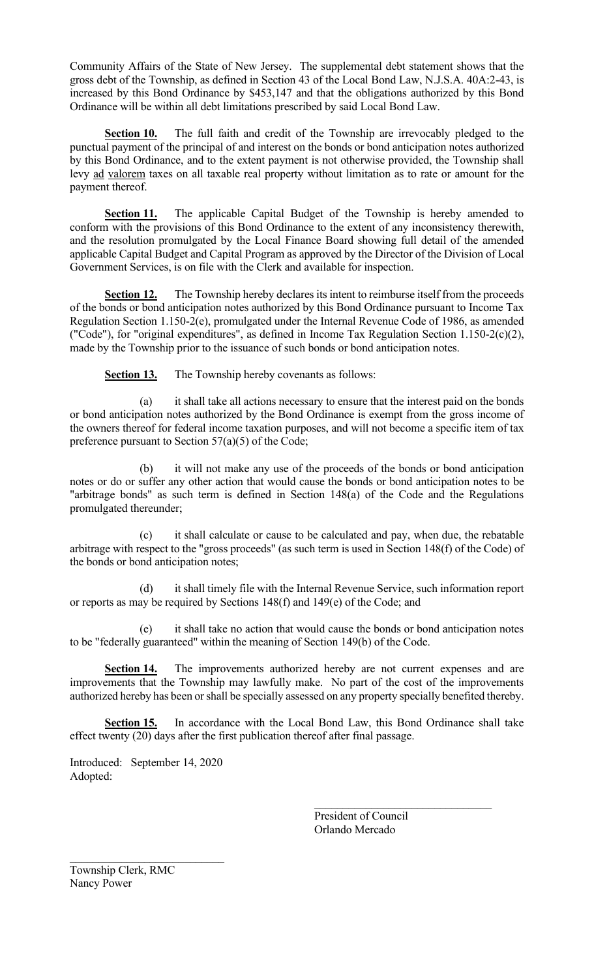Community Affairs of the State of New Jersey. The supplemental debt statement shows that the gross debt of the Township, as defined in Section 43 of the Local Bond Law, N.J.S.A. 40A:2-43, is increased by this Bond Ordinance by \$453,147 and that the obligations authorized by this Bond Ordinance will be within all debt limitations prescribed by said Local Bond Law.

**Section 10.** The full faith and credit of the Township are irrevocably pledged to the punctual payment of the principal of and interest on the bonds or bond anticipation notes authorized by this Bond Ordinance, and to the extent payment is not otherwise provided, the Township shall levy ad valorem taxes on all taxable real property without limitation as to rate or amount for the payment thereof.

**Section 11.** The applicable Capital Budget of the Township is hereby amended to conform with the provisions of this Bond Ordinance to the extent of any inconsistency therewith, and the resolution promulgated by the Local Finance Board showing full detail of the amended applicable Capital Budget and Capital Program as approved by the Director of the Division of Local Government Services, is on file with the Clerk and available for inspection.

**Section 12.** The Township hereby declares its intent to reimburse itself from the proceeds of the bonds or bond anticipation notes authorized by this Bond Ordinance pursuant to Income Tax Regulation Section 1.150-2(e), promulgated under the Internal Revenue Code of 1986, as amended ("Code"), for "original expenditures", as defined in Income Tax Regulation Section 1.150-2(c)(2), made by the Township prior to the issuance of such bonds or bond anticipation notes.

**Section 13.** The Township hereby covenants as follows:

(a) it shall take all actions necessary to ensure that the interest paid on the bonds or bond anticipation notes authorized by the Bond Ordinance is exempt from the gross income of the owners thereof for federal income taxation purposes, and will not become a specific item of tax preference pursuant to Section 57(a)(5) of the Code;

(b) it will not make any use of the proceeds of the bonds or bond anticipation notes or do or suffer any other action that would cause the bonds or bond anticipation notes to be "arbitrage bonds" as such term is defined in Section 148(a) of the Code and the Regulations promulgated thereunder;

(c) it shall calculate or cause to be calculated and pay, when due, the rebatable arbitrage with respect to the "gross proceeds" (as such term is used in Section 148(f) of the Code) of the bonds or bond anticipation notes;

(d) it shall timely file with the Internal Revenue Service, such information report or reports as may be required by Sections 148(f) and 149(e) of the Code; and

(e) it shall take no action that would cause the bonds or bond anticipation notes to be "federally guaranteed" within the meaning of Section 149(b) of the Code.

**Section 14.** The improvements authorized hereby are not current expenses and are improvements that the Township may lawfully make. No part of the cost of the improvements authorized hereby has been or shall be specially assessed on any property specially benefited thereby.

**Section 15.** In accordance with the Local Bond Law, this Bond Ordinance shall take effect twenty (20) days after the first publication thereof after final passage.

Introduced: September 14, 2020 Adopted:

\_\_\_\_\_\_\_\_\_\_\_\_\_\_\_\_\_\_\_\_\_\_\_\_\_\_\_

President of Council Orlando Mercado

Township Clerk, RMC Nancy Power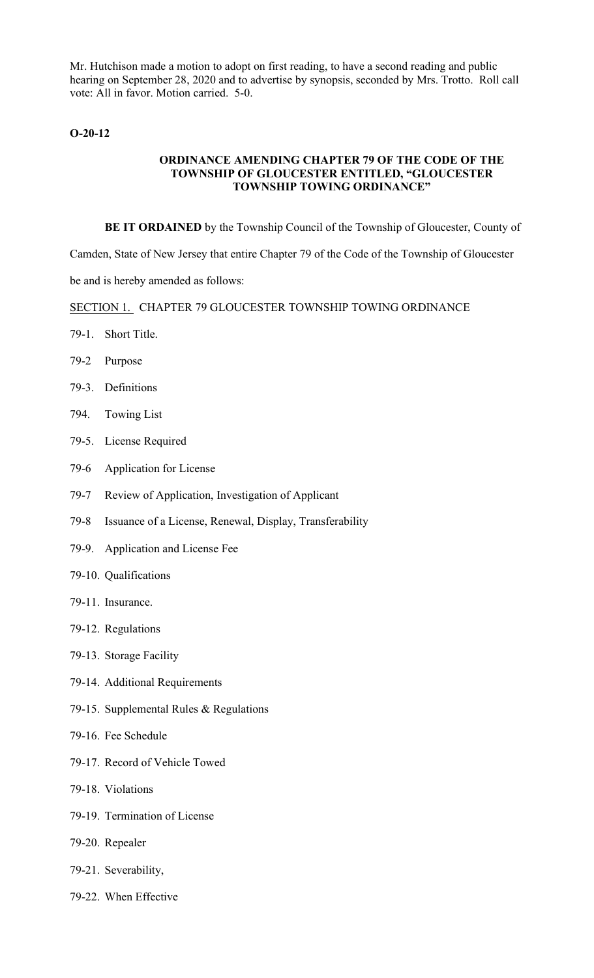Mr. Hutchison made a motion to adopt on first reading, to have a second reading and public hearing on September 28, 2020 and to advertise by synopsis, seconded by Mrs. Trotto. Roll call vote: All in favor. Motion carried. 5-0.

# **O-20-12**

# **ORDINANCE AMENDING CHAPTER 79 OF THE CODE OF THE TOWNSHIP OF GLOUCESTER ENTITLED, "GLOUCESTER TOWNSHIP TOWING ORDINANCE"**

**BE IT ORDAINED** by the Township Council of the Township of Gloucester, County of

Camden, State of New Jersey that entire Chapter 79 of the Code of the Township of Gloucester

be and is hereby amended as follows:

SECTION 1. CHAPTER 79 GLOUCESTER TOWNSHIP TOWING ORDINANCE

- 79-1. Short Title.
- 79-2 Purpose
- 79-3. Definitions
- 794. Towing List
- 79-5. License Required
- 79-6 Application for License
- 79-7 Review of Application, Investigation of Applicant
- 79-8 Issuance of a License, Renewal, Display, Transferability
- 79-9. Application and License Fee
- 79-10. Qualifications
- 79-11. Insurance.
- 79-12. Regulations
- 79-13. Storage Facility
- 79-14. Additional Requirements
- 79-15. Supplemental Rules & Regulations
- 79-16. Fee Schedule
- 79-17. Record of Vehicle Towed
- 79-18. Violations
- 79-19. Termination of License
- 79-20. Repealer
- 79-21. Severability,
- 79-22. When Effective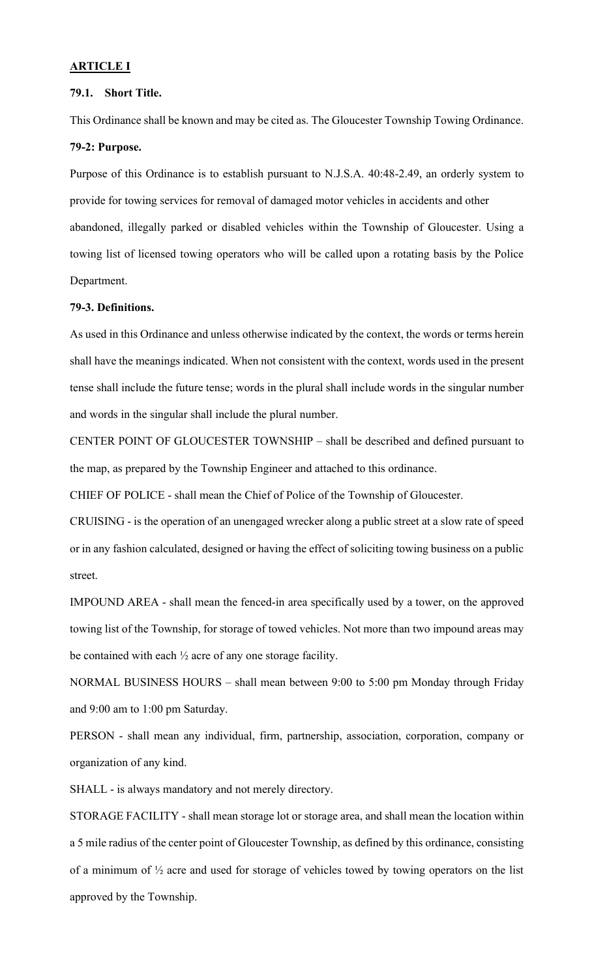#### **ARTICLE I**

## **79.1. Short Title.**

This Ordinance shall be known and may be cited as. The Gloucester Township Towing Ordinance. **79-2: Purpose.**

Purpose of this Ordinance is to establish pursuant to N.J.S.A. 40:48-2.49, an orderly system to provide for towing services for removal of damaged motor vehicles in accidents and other abandoned, illegally parked or disabled vehicles within the Township of Gloucester. Using a towing list of licensed towing operators who will be called upon a rotating basis by the Police Department.

## **79-3. Definitions.**

As used in this Ordinance and unless otherwise indicated by the context, the words or terms herein shall have the meanings indicated. When not consistent with the context, words used in the present tense shall include the future tense; words in the plural shall include words in the singular number and words in the singular shall include the plural number.

CENTER POINT OF GLOUCESTER TOWNSHIP – shall be described and defined pursuant to the map, as prepared by the Township Engineer and attached to this ordinance.

CHIEF OF POLICE - shall mean the Chief of Police of the Township of Gloucester.

CRUISING - is the operation of an unengaged wrecker along a public street at a slow rate of speed or in any fashion calculated, designed or having the effect of soliciting towing business on a public street.

IMPOUND AREA - shall mean the fenced-in area specifically used by a tower, on the approved towing list of the Township, for storage of towed vehicles. Not more than two impound areas may be contained with each ½ acre of any one storage facility.

NORMAL BUSINESS HOURS – shall mean between 9:00 to 5:00 pm Monday through Friday and 9:00 am to 1:00 pm Saturday.

PERSON - shall mean any individual, firm, partnership, association, corporation, company or organization of any kind.

SHALL - is always mandatory and not merely directory.

STORAGE FACILITY - shall mean storage lot or storage area, and shall mean the location within a 5 mile radius of the center point of Gloucester Township, as defined by this ordinance, consisting of a minimum of ½ acre and used for storage of vehicles towed by towing operators on the list approved by the Township.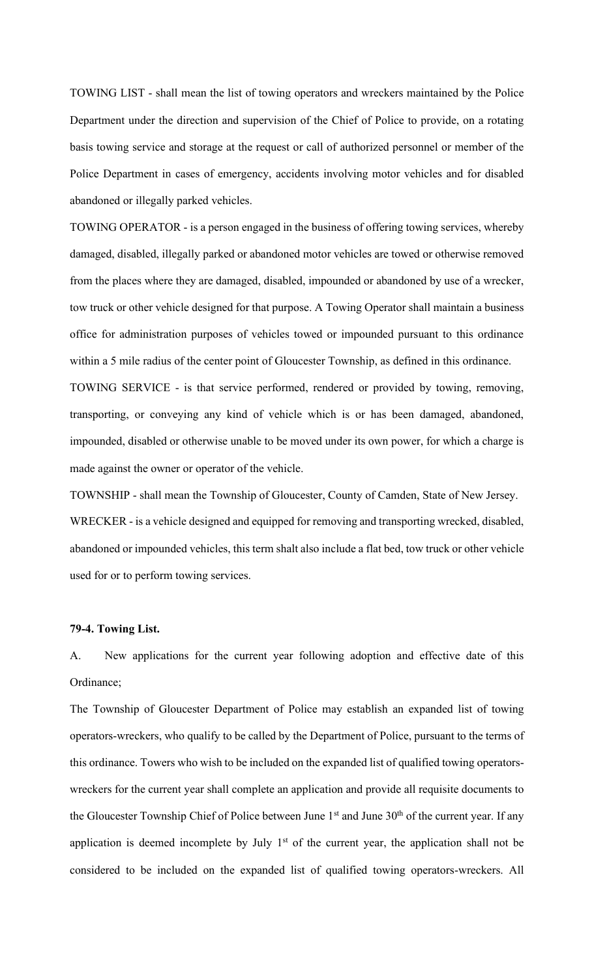TOWING LIST - shall mean the list of towing operators and wreckers maintained by the Police Department under the direction and supervision of the Chief of Police to provide, on a rotating basis towing service and storage at the request or call of authorized personnel or member of the Police Department in cases of emergency, accidents involving motor vehicles and for disabled abandoned or illegally parked vehicles.

TOWING OPERATOR - is a person engaged in the business of offering towing services, whereby damaged, disabled, illegally parked or abandoned motor vehicles are towed or otherwise removed from the places where they are damaged, disabled, impounded or abandoned by use of a wrecker, tow truck or other vehicle designed for that purpose. A Towing Operator shall maintain a business office for administration purposes of vehicles towed or impounded pursuant to this ordinance within a 5 mile radius of the center point of Gloucester Township, as defined in this ordinance.

TOWING SERVICE - is that service performed, rendered or provided by towing, removing, transporting, or conveying any kind of vehicle which is or has been damaged, abandoned, impounded, disabled or otherwise unable to be moved under its own power, for which a charge is made against the owner or operator of the vehicle.

TOWNSHIP - shall mean the Township of Gloucester, County of Camden, State of New Jersey. WRECKER - is a vehicle designed and equipped for removing and transporting wrecked, disabled, abandoned or impounded vehicles, this term shalt also include a flat bed, tow truck or other vehicle used for or to perform towing services.

## **79-4. Towing List.**

A. New applications for the current year following adoption and effective date of this Ordinance;

The Township of Gloucester Department of Police may establish an expanded list of towing operators-wreckers, who qualify to be called by the Department of Police, pursuant to the terms of this ordinance. Towers who wish to be included on the expanded list of qualified towing operatorswreckers for the current year shall complete an application and provide all requisite documents to the Gloucester Township Chief of Police between June 1<sup>st</sup> and June 30<sup>th</sup> of the current year. If any application is deemed incomplete by July  $1<sup>st</sup>$  of the current year, the application shall not be considered to be included on the expanded list of qualified towing operators-wreckers. All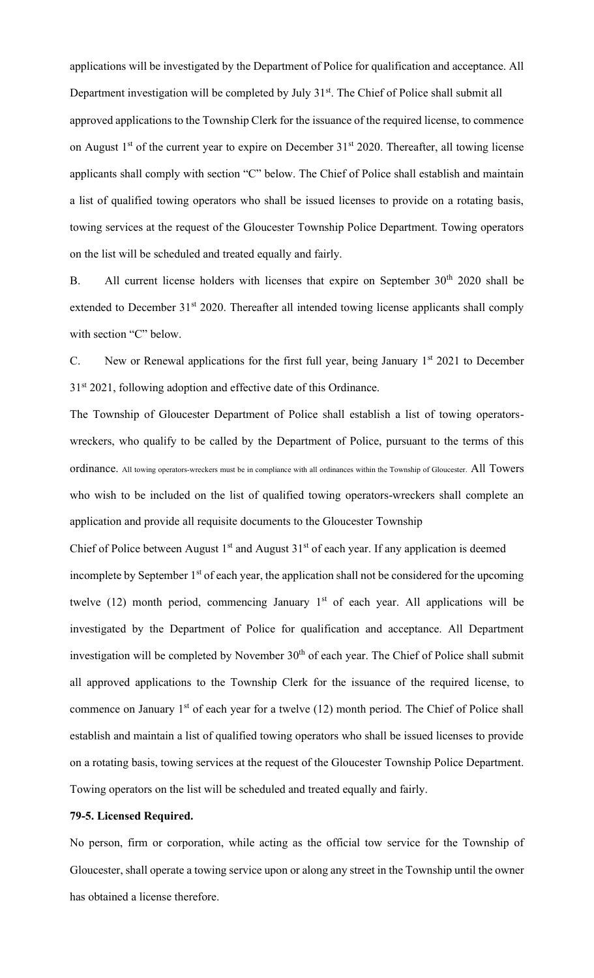applications will be investigated by the Department of Police for qualification and acceptance. All Department investigation will be completed by July 31<sup>st</sup>. The Chief of Police shall submit all approved applications to the Township Clerk for the issuance of the required license, to commence on August  $1<sup>st</sup>$  of the current year to expire on December  $31<sup>st</sup>$  2020. Thereafter, all towing license applicants shall comply with section "C" below. The Chief of Police shall establish and maintain a list of qualified towing operators who shall be issued licenses to provide on a rotating basis, towing services at the request of the Gloucester Township Police Department. Towing operators on the list will be scheduled and treated equally and fairly.

B. All current license holders with licenses that expire on September  $30<sup>th</sup> 2020$  shall be extended to December 31<sup>st</sup> 2020. Thereafter all intended towing license applicants shall comply with section "C" below.

C. New or Renewal applications for the first full year, being January 1<sup>st</sup> 2021 to December  $31<sup>st</sup> 2021$ , following adoption and effective date of this Ordinance.

The Township of Gloucester Department of Police shall establish a list of towing operatorswreckers, who qualify to be called by the Department of Police, pursuant to the terms of this ordinance. All towing operators-wreckers must be in compliance with all ordinances within the Township of Gloucester. All Towers who wish to be included on the list of qualified towing operators-wreckers shall complete an application and provide all requisite documents to the Gloucester Township

Chief of Police between August  $1<sup>st</sup>$  and August  $31<sup>st</sup>$  of each year. If any application is deemed incomplete by September  $1<sup>st</sup>$  of each year, the application shall not be considered for the upcoming twelve (12) month period, commencing January  $1<sup>st</sup>$  of each year. All applications will be investigated by the Department of Police for qualification and acceptance. All Department investigation will be completed by November 30<sup>th</sup> of each year. The Chief of Police shall submit all approved applications to the Township Clerk for the issuance of the required license, to commence on January  $1<sup>st</sup>$  of each year for a twelve (12) month period. The Chief of Police shall establish and maintain a list of qualified towing operators who shall be issued licenses to provide on a rotating basis, towing services at the request of the Gloucester Township Police Department. Towing operators on the list will be scheduled and treated equally and fairly.

## **79-5. Licensed Required.**

No person, firm or corporation, while acting as the official tow service for the Township of Gloucester, shall operate a towing service upon or along any street in the Township until the owner has obtained a license therefore.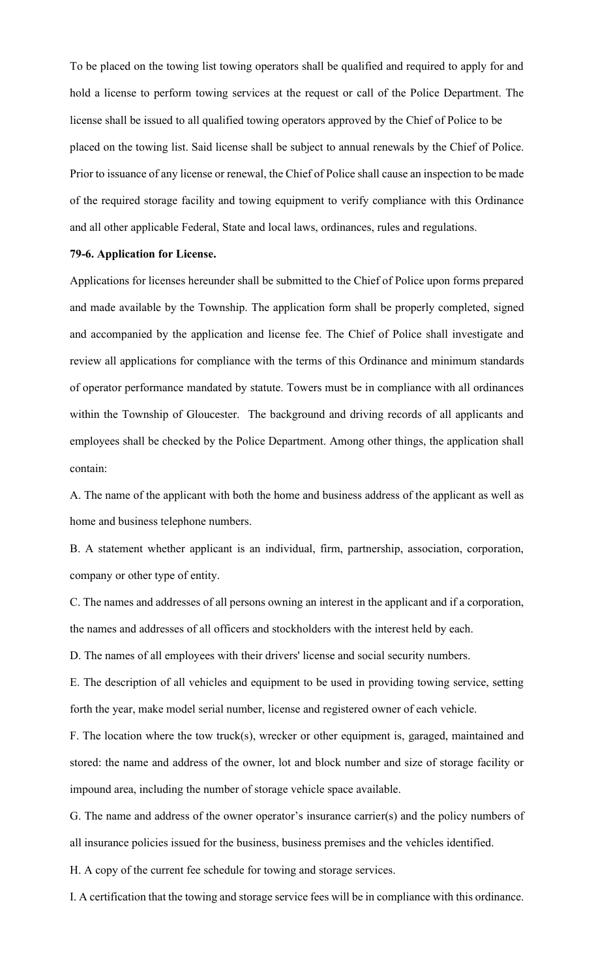To be placed on the towing list towing operators shall be qualified and required to apply for and hold a license to perform towing services at the request or call of the Police Department. The license shall be issued to all qualified towing operators approved by the Chief of Police to be placed on the towing list. Said license shall be subject to annual renewals by the Chief of Police. Prior to issuance of any license or renewal, the Chief of Police shall cause an inspection to be made of the required storage facility and towing equipment to verify compliance with this Ordinance and all other applicable Federal, State and local laws, ordinances, rules and regulations.

#### **79-6. Application for License.**

Applications for licenses hereunder shall be submitted to the Chief of Police upon forms prepared and made available by the Township. The application form shall be properly completed, signed and accompanied by the application and license fee. The Chief of Police shall investigate and review all applications for compliance with the terms of this Ordinance and minimum standards of operator performance mandated by statute. Towers must be in compliance with all ordinances within the Township of Gloucester. The background and driving records of all applicants and employees shall be checked by the Police Department. Among other things, the application shall contain:

A. The name of the applicant with both the home and business address of the applicant as well as home and business telephone numbers.

B. A statement whether applicant is an individual, firm, partnership, association, corporation, company or other type of entity.

C. The names and addresses of all persons owning an interest in the applicant and if a corporation, the names and addresses of all officers and stockholders with the interest held by each.

D. The names of all employees with their drivers' license and social security numbers.

E. The description of all vehicles and equipment to be used in providing towing service, setting forth the year, make model serial number, license and registered owner of each vehicle.

F. The location where the tow truck(s), wrecker or other equipment is, garaged, maintained and stored: the name and address of the owner, lot and block number and size of storage facility or impound area, including the number of storage vehicle space available.

G. The name and address of the owner operator's insurance carrier(s) and the policy numbers of all insurance policies issued for the business, business premises and the vehicles identified.

H. A copy of the current fee schedule for towing and storage services.

I. A certification that the towing and storage service fees will be in compliance with this ordinance.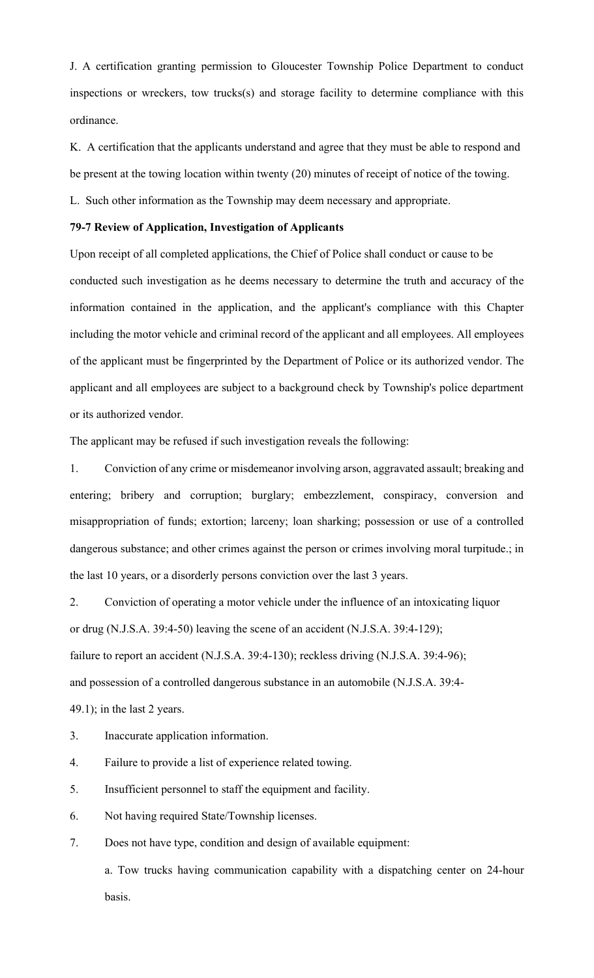J. A certification granting permission to Gloucester Township Police Department to conduct inspections or wreckers, tow trucks(s) and storage facility to determine compliance with this ordinance.

K. A certification that the applicants understand and agree that they must be able to respond and be present at the towing location within twenty (20) minutes of receipt of notice of the towing.

L. Such other information as the Township may deem necessary and appropriate.

## **79-7 Review of Application, Investigation of Applicants**

Upon receipt of all completed applications, the Chief of Police shall conduct or cause to be conducted such investigation as he deems necessary to determine the truth and accuracy of the information contained in the application, and the applicant's compliance with this Chapter including the motor vehicle and criminal record of the applicant and all employees. All employees of the applicant must be fingerprinted by the Department of Police or its authorized vendor. The applicant and all employees are subject to a background check by Township's police department or its authorized vendor.

The applicant may be refused if such investigation reveals the following:

1. Conviction of any crime or misdemeanor involving arson, aggravated assault; breaking and entering; bribery and corruption; burglary; embezzlement, conspiracy, conversion and misappropriation of funds; extortion; larceny; loan sharking; possession or use of a controlled dangerous substance; and other crimes against the person or crimes involving moral turpitude.; in the last 10 years, or a disorderly persons conviction over the last 3 years.

2. Conviction of operating a motor vehicle under the influence of an intoxicating liquor or drug (N.J.S.A. 39:4-50) leaving the scene of an accident (N.J.S.A. 39:4-129); failure to report an accident (N.J.S.A. 39:4-130); reckless driving (N.J.S.A. 39:4-96); and possession of a controlled dangerous substance in an automobile (N.J.S.A. 39:4- 49.1); in the last 2 years.

- 3. Inaccurate application information.
- 4. Failure to provide a list of experience related towing.
- 5. Insufficient personnel to staff the equipment and facility.
- 6. Not having required State/Township licenses.
- 7. Does not have type, condition and design of available equipment:

a. Tow trucks having communication capability with a dispatching center on 24-hour basis.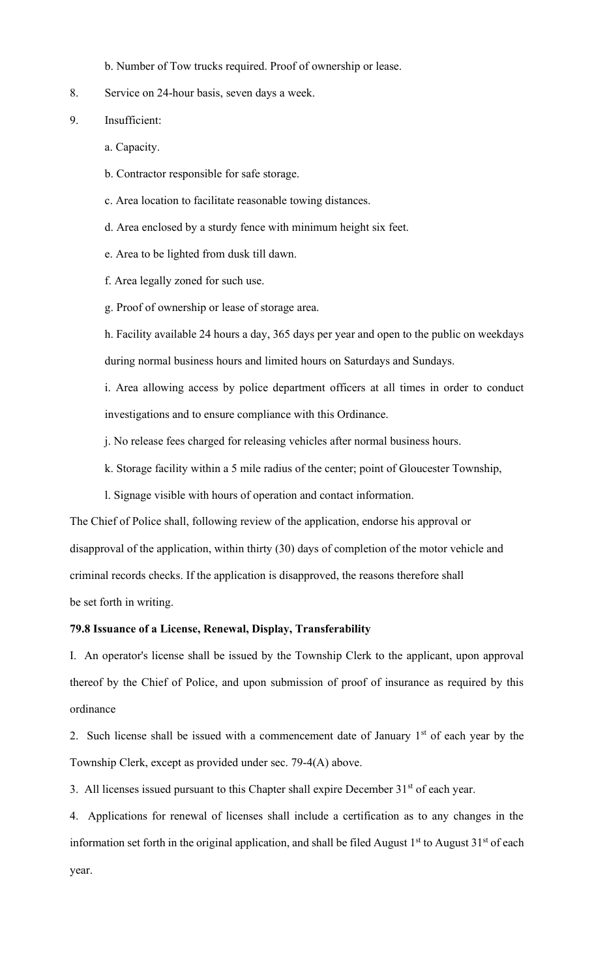b. Number of Tow trucks required. Proof of ownership or lease.

8. Service on 24-hour basis, seven days a week.

9. Insufficient:

- a. Capacity.
- b. Contractor responsible for safe storage.
- c. Area location to facilitate reasonable towing distances.
- d. Area enclosed by a sturdy fence with minimum height six feet.
- e. Area to be lighted from dusk till dawn.
- f. Area legally zoned for such use.
- g. Proof of ownership or lease of storage area.

h. Facility available 24 hours a day, 365 days per year and open to the public on weekdays during normal business hours and limited hours on Saturdays and Sundays.

i. Area allowing access by police department officers at all times in order to conduct investigations and to ensure compliance with this Ordinance.

- j. No release fees charged for releasing vehicles after normal business hours.
- k. Storage facility within a 5 mile radius of the center; point of Gloucester Township,
- l. Signage visible with hours of operation and contact information.

The Chief of Police shall, following review of the application, endorse his approval or disapproval of the application, within thirty (30) days of completion of the motor vehicle and criminal records checks. If the application is disapproved, the reasons therefore shall be set forth in writing.

## **79.8 Issuance of a License, Renewal, Display, Transferability**

I. An operator's license shall be issued by the Township Clerk to the applicant, upon approval thereof by the Chief of Police, and upon submission of proof of insurance as required by this ordinance

2. Such license shall be issued with a commencement date of January  $1<sup>st</sup>$  of each year by the Township Clerk, except as provided under sec. 79-4(A) above.

3. All licenses issued pursuant to this Chapter shall expire December 31<sup>st</sup> of each year.

4. Applications for renewal of licenses shall include a certification as to any changes in the information set forth in the original application, and shall be filed August  $1<sup>st</sup>$  to August  $31<sup>st</sup>$  of each year.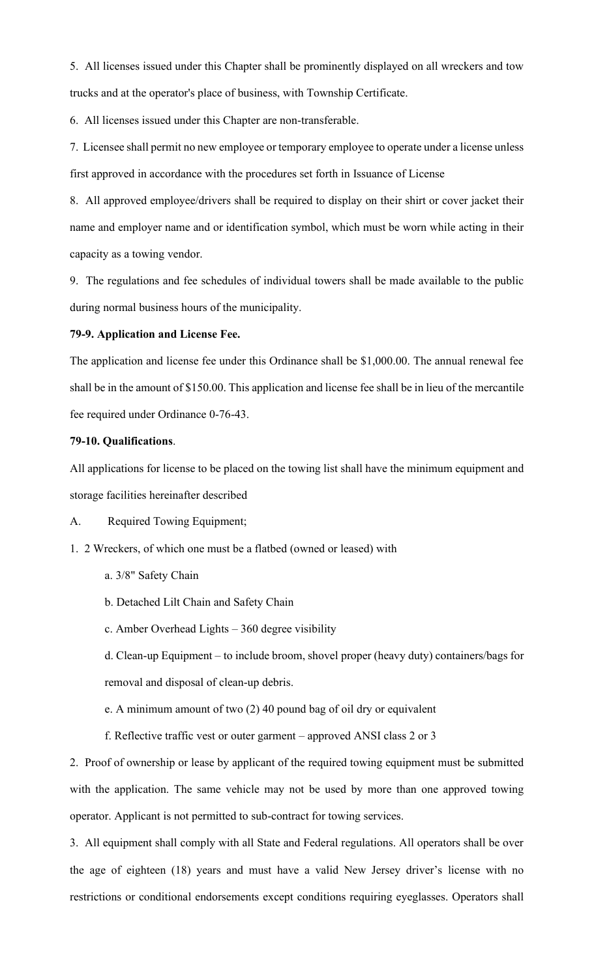5. All licenses issued under this Chapter shall be prominently displayed on all wreckers and tow trucks and at the operator's place of business, with Township Certificate.

6. All licenses issued under this Chapter are non-transferable.

7. Licensee shall permit no new employee or temporary employee to operate under a license unless first approved in accordance with the procedures set forth in Issuance of License

8. All approved employee/drivers shall be required to display on their shirt or cover jacket their name and employer name and or identification symbol, which must be worn while acting in their capacity as a towing vendor.

9. The regulations and fee schedules of individual towers shall be made available to the public during normal business hours of the municipality.

## **79-9. Application and License Fee.**

The application and license fee under this Ordinance shall be \$1,000.00. The annual renewal fee shall be in the amount of \$150.00. This application and license fee shall be in lieu of the mercantile fee required under Ordinance 0-76-43.

## **79-10. Qualifications**.

All applications for license to be placed on the towing list shall have the minimum equipment and storage facilities hereinafter described

A. Required Towing Equipment;

1. 2 Wreckers, of which one must be a flatbed (owned or leased) with

- a. 3/8" Safety Chain
- b. Detached Lilt Chain and Safety Chain
- c. Amber Overhead Lights 360 degree visibility

d. Clean-up Equipment – to include broom, shovel proper (heavy duty) containers/bags for removal and disposal of clean-up debris.

e. A minimum amount of two (2) 40 pound bag of oil dry or equivalent

f. Reflective traffic vest or outer garment – approved ANSI class 2 or 3

2. Proof of ownership or lease by applicant of the required towing equipment must be submitted with the application. The same vehicle may not be used by more than one approved towing operator. Applicant is not permitted to sub-contract for towing services.

3. All equipment shall comply with all State and Federal regulations. All operators shall be over the age of eighteen (18) years and must have a valid New Jersey driver's license with no restrictions or conditional endorsements except conditions requiring eyeglasses. Operators shall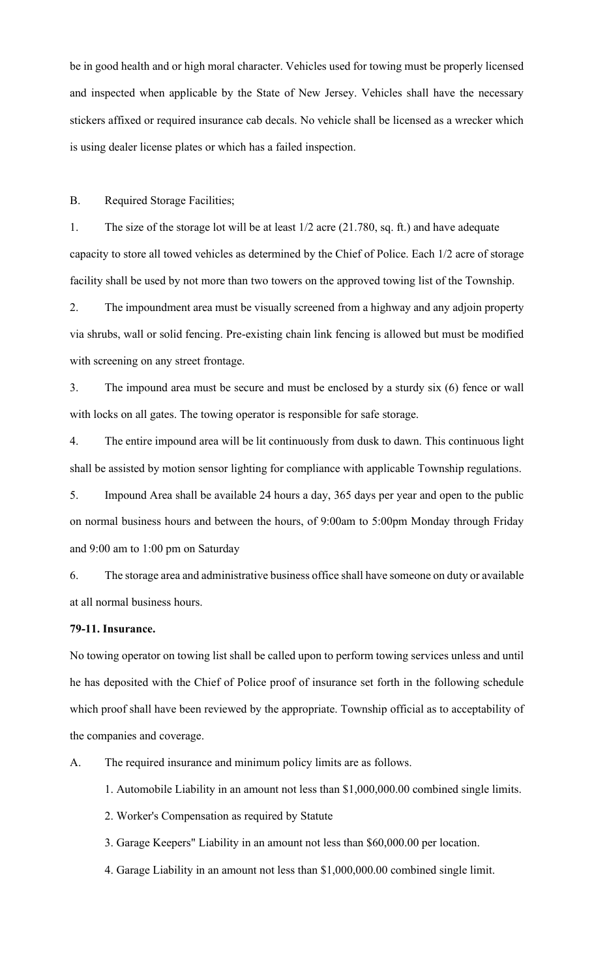be in good health and or high moral character. Vehicles used for towing must be properly licensed and inspected when applicable by the State of New Jersey. Vehicles shall have the necessary stickers affixed or required insurance cab decals. No vehicle shall be licensed as a wrecker which is using dealer license plates or which has a failed inspection.

B. Required Storage Facilities;

1. The size of the storage lot will be at least 1/2 acre (21.780, sq. ft.) and have adequate capacity to store all towed vehicles as determined by the Chief of Police. Each 1/2 acre of storage facility shall be used by not more than two towers on the approved towing list of the Township.

2. The impoundment area must be visually screened from a highway and any adjoin property via shrubs, wall or solid fencing. Pre-existing chain link fencing is allowed but must be modified with screening on any street frontage.

3. The impound area must be secure and must be enclosed by a sturdy six (6) fence or wall with locks on all gates. The towing operator is responsible for safe storage.

4. The entire impound area will be lit continuously from dusk to dawn. This continuous light shall be assisted by motion sensor lighting for compliance with applicable Township regulations.

5. Impound Area shall be available 24 hours a day, 365 days per year and open to the public on normal business hours and between the hours, of 9:00am to 5:00pm Monday through Friday and 9:00 am to 1:00 pm on Saturday

6. The storage area and administrative business office shall have someone on duty or available at all normal business hours.

#### **79-11. Insurance.**

No towing operator on towing list shall be called upon to perform towing services unless and until he has deposited with the Chief of Police proof of insurance set forth in the following schedule which proof shall have been reviewed by the appropriate. Township official as to acceptability of the companies and coverage.

- A. The required insurance and minimum policy limits are as follows.
	- 1. Automobile Liability in an amount not less than \$1,000,000.00 combined single limits.
	- 2. Worker's Compensation as required by Statute
	- 3. Garage Keepers" Liability in an amount not less than \$60,000.00 per location.
	- 4. Garage Liability in an amount not less than \$1,000,000.00 combined single limit.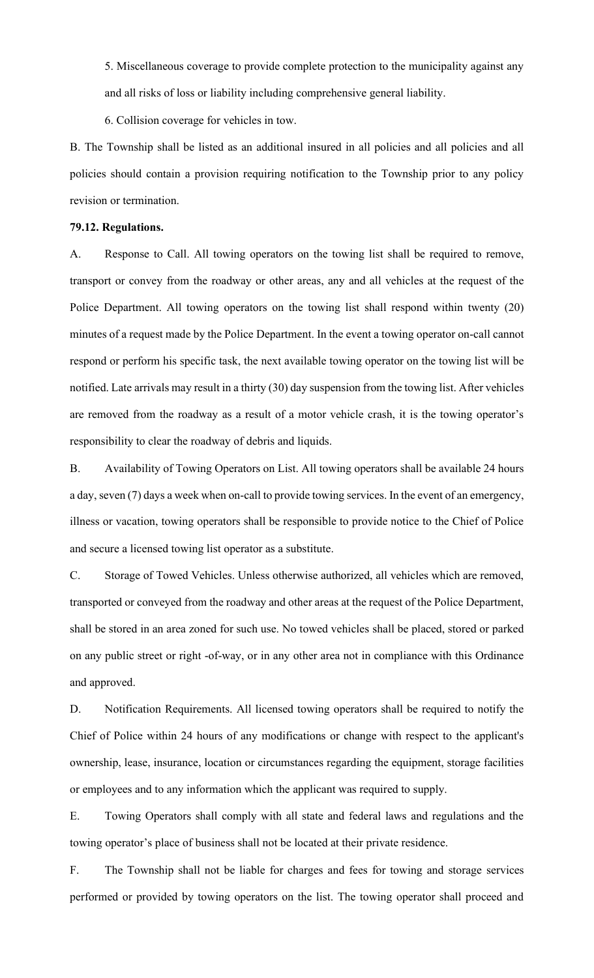5. Miscellaneous coverage to provide complete protection to the municipality against any and all risks of loss or liability including comprehensive general liability.

6. Collision coverage for vehicles in tow.

B. The Township shall be listed as an additional insured in all policies and all policies and all policies should contain a provision requiring notification to the Township prior to any policy revision or termination.

#### **79.12. Regulations.**

A. Response to Call. All towing operators on the towing list shall be required to remove, transport or convey from the roadway or other areas, any and all vehicles at the request of the Police Department. All towing operators on the towing list shall respond within twenty (20) minutes of a request made by the Police Department. In the event a towing operator on-call cannot respond or perform his specific task, the next available towing operator on the towing list will be notified. Late arrivals may result in a thirty (30) day suspension from the towing list. After vehicles are removed from the roadway as a result of a motor vehicle crash, it is the towing operator's responsibility to clear the roadway of debris and liquids.

B. Availability of Towing Operators on List. All towing operators shall be available 24 hours a day, seven (7) days a week when on-call to provide towing services. In the event of an emergency, illness or vacation, towing operators shall be responsible to provide notice to the Chief of Police and secure a licensed towing list operator as a substitute.

C. Storage of Towed Vehicles. Unless otherwise authorized, all vehicles which are removed, transported or conveyed from the roadway and other areas at the request of the Police Department, shall be stored in an area zoned for such use. No towed vehicles shall be placed, stored or parked on any public street or right -of-way, or in any other area not in compliance with this Ordinance and approved.

D. Notification Requirements. All licensed towing operators shall be required to notify the Chief of Police within 24 hours of any modifications or change with respect to the applicant's ownership, lease, insurance, location or circumstances regarding the equipment, storage facilities or employees and to any information which the applicant was required to supply.

E. Towing Operators shall comply with all state and federal laws and regulations and the towing operator's place of business shall not be located at their private residence.

F. The Township shall not be liable for charges and fees for towing and storage services performed or provided by towing operators on the list. The towing operator shall proceed and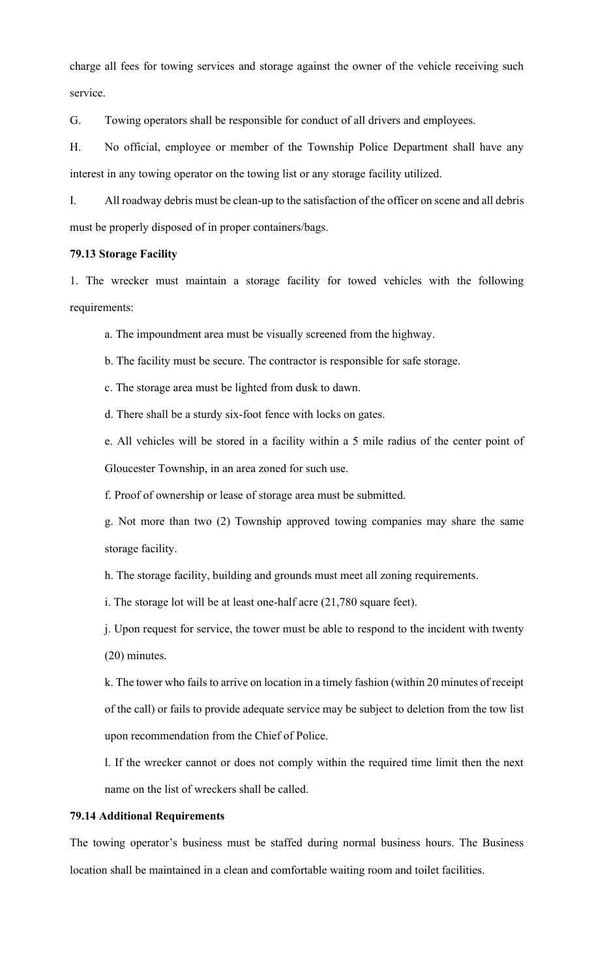charge all fees for towing services and storage against the owner of the vehicle receiving such service.

G. Towing operators shall be responsible for conduct of all drivers and employees.

H. No official, employee or member of the Township Police Department shall have any interest in any towing operator on the towing list or any storage facility utilized.

I. All roadway debris must be clean-up to the satisfaction of the officer on scene and all debris must be properly disposed of in proper containers/bags.

#### **79.13 Storage Facility**

1. The wrecker must maintain a storage facility for towed vehicles with the following requirements:

a. The impoundment area must be visually screened from the highway.

b. The facility must be secure. The contractor is responsible for safe storage.

c. The storage area must be lighted from dusk to dawn.

d. There shall be a sturdy six-foot fence with locks on gates.

e. All vehicles will be stored in a facility within a 5 mile radius of the center point of Gloucester Township, in an area zoned for such use.

f. Proof of ownership or lease of storage area must be submitted.

g. Not more than two (2) Township approved towing companies may share the same storage facility.

h. The storage facility, building and grounds must meet all zoning requirements.

i. The storage lot will be at least one-half acre (21,780 square feet).

j. Upon request for service, the tower must be able to respond to the incident with twenty (20) minutes.

k. The tower who fails to arrive on location in a timely fashion (within 20 minutes of receipt of the call) or fails to provide adequate service may be subject to deletion from the tow list upon recommendation from the Chief of Police.

l. If the wrecker cannot or does not comply within the required time limit then the next name on the list of wreckers shall be called.

## **79.14 Additional Requirements**

The towing operator's business must be staffed during normal business hours. The Business location shall be maintained in a clean and comfortable waiting room and toilet facilities.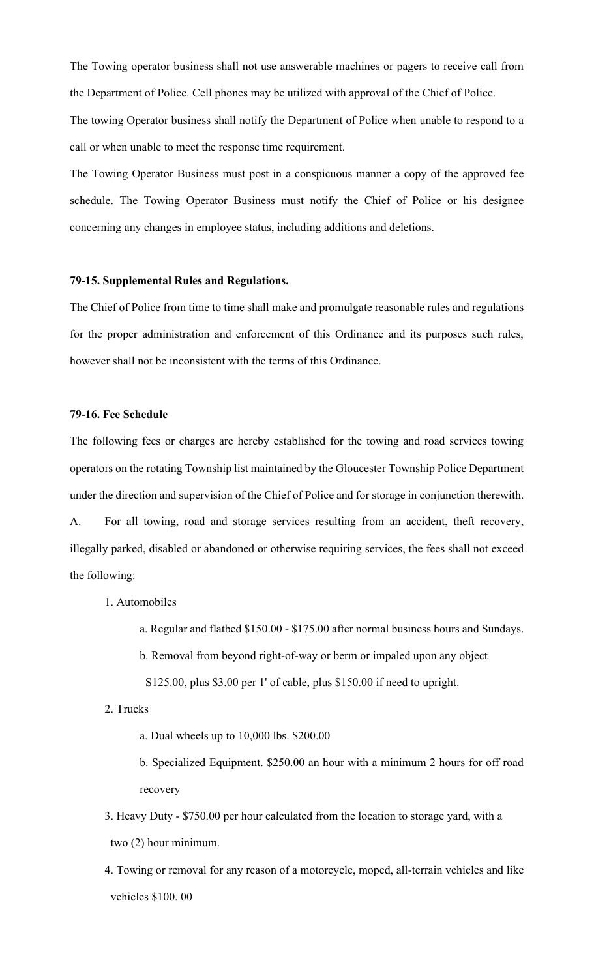The Towing operator business shall not use answerable machines or pagers to receive call from the Department of Police. Cell phones may be utilized with approval of the Chief of Police. The towing Operator business shall notify the Department of Police when unable to respond to a call or when unable to meet the response time requirement.

The Towing Operator Business must post in a conspicuous manner a copy of the approved fee schedule. The Towing Operator Business must notify the Chief of Police or his designee concerning any changes in employee status, including additions and deletions.

# **79-15. Supplemental Rules and Regulations.**

The Chief of Police from time to time shall make and promulgate reasonable rules and regulations for the proper administration and enforcement of this Ordinance and its purposes such rules, however shall not be inconsistent with the terms of this Ordinance.

#### **79-16. Fee Schedule**

The following fees or charges are hereby established for the towing and road services towing operators on the rotating Township list maintained by the Gloucester Township Police Department under the direction and supervision of the Chief of Police and for storage in conjunction therewith. A. For all towing, road and storage services resulting from an accident, theft recovery, illegally parked, disabled or abandoned or otherwise requiring services, the fees shall not exceed

the following:

- 1. Automobiles
	- a. Regular and flatbed \$150.00 \$175.00 after normal business hours and Sundays.
	- b. Removal from beyond right-of-way or berm or impaled upon any object
	- S125.00, plus \$3.00 per 1' of cable, plus \$150.00 if need to upright.
- 2. Trucks
	- a. Dual wheels up to 10,000 lbs. \$200.00
	- b. Specialized Equipment. \$250.00 an hour with a minimum 2 hours for off road recovery
- 3. Heavy Duty \$750.00 per hour calculated from the location to storage yard, with a two (2) hour minimum.
- 4. Towing or removal for any reason of a motorcycle, moped, all-terrain vehicles and like vehicles \$100. 00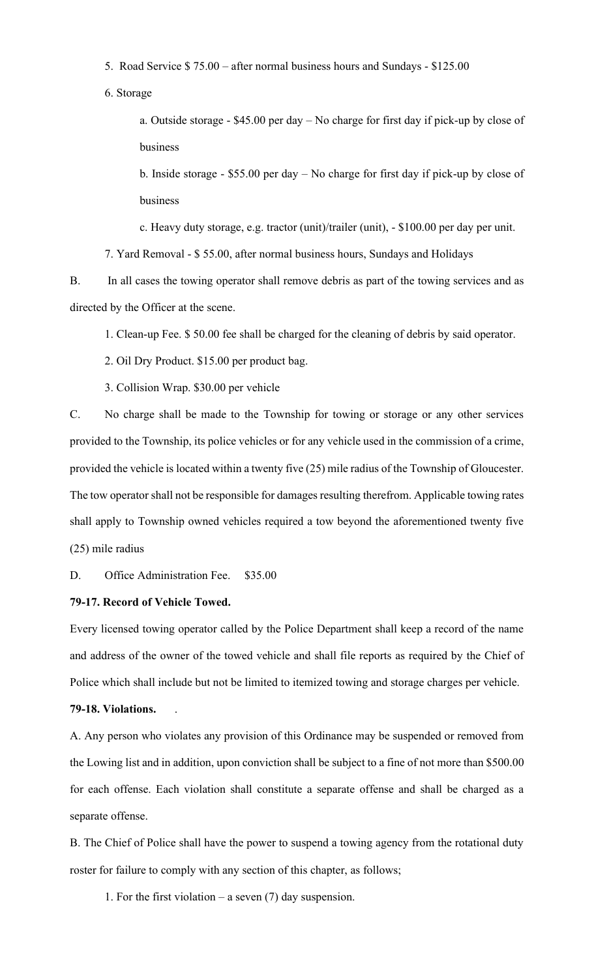- 5. Road Service \$ 75.00 after normal business hours and Sundays \$125.00
- 6. Storage

a. Outside storage - \$45.00 per day – No charge for first day if pick-up by close of business

b. Inside storage - \$55.00 per day – No charge for first day if pick-up by close of business

c. Heavy duty storage, e.g. tractor (unit)/trailer (unit), - \$100.00 per day per unit.

7. Yard Removal - \$ 55.00, after normal business hours, Sundays and Holidays

B. In all cases the towing operator shall remove debris as part of the towing services and as directed by the Officer at the scene.

1. Clean-up Fee. \$ 50.00 fee shall be charged for the cleaning of debris by said operator.

- 2. Oil Dry Product. \$15.00 per product bag.
- 3. Collision Wrap. \$30.00 per vehicle

C. No charge shall be made to the Township for towing or storage or any other services provided to the Township, its police vehicles or for any vehicle used in the commission of a crime, provided the vehicle is located within a twenty five (25) mile radius of the Township of Gloucester. The tow operator shall not be responsible for damages resulting therefrom. Applicable towing rates shall apply to Township owned vehicles required a tow beyond the aforementioned twenty five (25) mile radius

D. Office Administration Fee. \$35.00

# **79-17. Record of Vehicle Towed.**

Every licensed towing operator called by the Police Department shall keep a record of the name and address of the owner of the towed vehicle and shall file reports as required by the Chief of Police which shall include but not be limited to itemized towing and storage charges per vehicle.

# **79-18. Violations.** .

A. Any person who violates any provision of this Ordinance may be suspended or removed from the Lowing list and in addition, upon conviction shall be subject to a fine of not more than \$500.00 for each offense. Each violation shall constitute a separate offense and shall be charged as a separate offense.

B. The Chief of Police shall have the power to suspend a towing agency from the rotational duty roster for failure to comply with any section of this chapter, as follows;

1. For the first violation – a seven  $(7)$  day suspension.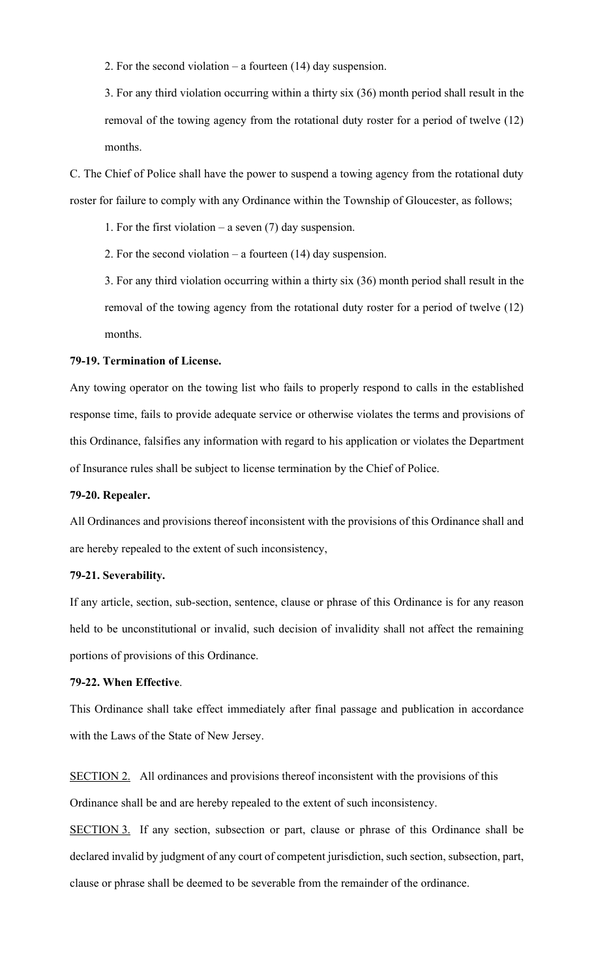2. For the second violation – a fourteen (14) day suspension.

3. For any third violation occurring within a thirty six (36) month period shall result in the removal of the towing agency from the rotational duty roster for a period of twelve (12) months.

C. The Chief of Police shall have the power to suspend a towing agency from the rotational duty roster for failure to comply with any Ordinance within the Township of Gloucester, as follows;

1. For the first violation – a seven (7) day suspension.

2. For the second violation – a fourteen (14) day suspension.

3. For any third violation occurring within a thirty six (36) month period shall result in the removal of the towing agency from the rotational duty roster for a period of twelve (12) months.

#### **79-19. Termination of License.**

Any towing operator on the towing list who fails to properly respond to calls in the established response time, fails to provide adequate service or otherwise violates the terms and provisions of this Ordinance, falsifies any information with regard to his application or violates the Department of Insurance rules shall be subject to license termination by the Chief of Police.

#### **79-20. Repealer.**

All Ordinances and provisions thereof inconsistent with the provisions of this Ordinance shall and are hereby repealed to the extent of such inconsistency,

#### **79-21. Severability.**

If any article, section, sub-section, sentence, clause or phrase of this Ordinance is for any reason held to be unconstitutional or invalid, such decision of invalidity shall not affect the remaining portions of provisions of this Ordinance.

# **79-22. When Effective**.

This Ordinance shall take effect immediately after final passage and publication in accordance with the Laws of the State of New Jersey.

SECTION 2. All ordinances and provisions thereof inconsistent with the provisions of this Ordinance shall be and are hereby repealed to the extent of such inconsistency.

SECTION 3. If any section, subsection or part, clause or phrase of this Ordinance shall be declared invalid by judgment of any court of competent jurisdiction, such section, subsection, part, clause or phrase shall be deemed to be severable from the remainder of the ordinance.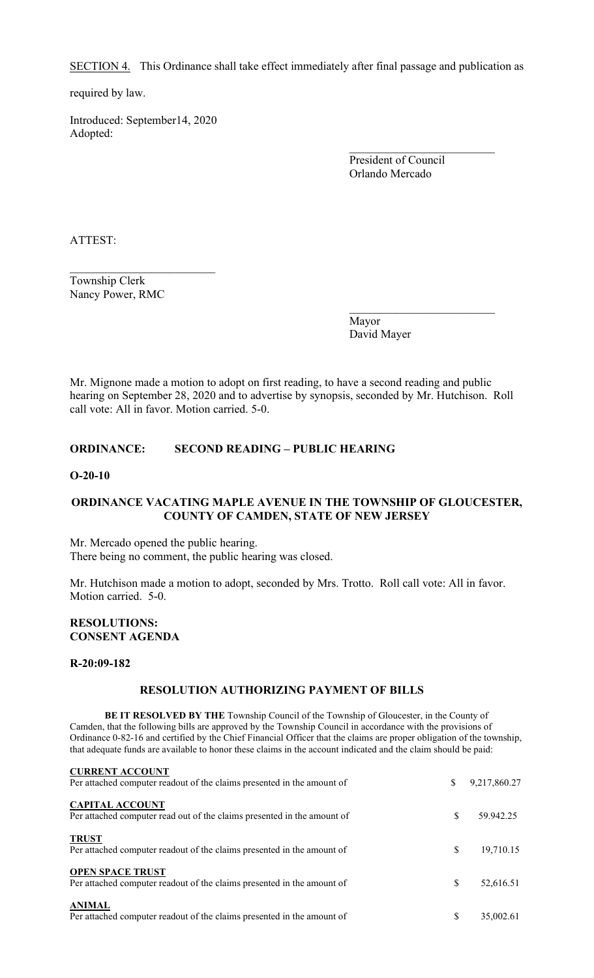SECTION 4. This Ordinance shall take effect immediately after final passage and publication as

required by law.

Introduced: September14, 2020 Adopted:

> President of Council Orlando Mercado

\_\_\_\_\_\_\_\_\_\_\_\_\_\_\_\_\_\_\_\_\_\_\_\_\_

\_\_\_\_\_\_\_\_\_\_\_\_\_\_\_\_\_\_\_\_\_\_\_\_\_

ATTEST:

Township Clerk Nancy Power, RMC

> Mayor David Mayer

Mr. Mignone made a motion to adopt on first reading, to have a second reading and public hearing on September 28, 2020 and to advertise by synopsis, seconded by Mr. Hutchison. Roll call vote: All in favor. Motion carried. 5-0.

# **ORDINANCE: SECOND READING – PUBLIC HEARING**

#### **O-20-10**

## **ORDINANCE VACATING MAPLE AVENUE IN THE TOWNSHIP OF GLOUCESTER, COUNTY OF CAMDEN, STATE OF NEW JERSEY**

Mr. Mercado opened the public hearing. There being no comment, the public hearing was closed.

Mr. Hutchison made a motion to adopt, seconded by Mrs. Trotto. Roll call vote: All in favor. Motion carried. 5-0.

# **RESOLUTIONS: CONSENT AGENDA**

#### **R-20:09-182**

## **RESOLUTION AUTHORIZING PAYMENT OF BILLS**

**BE IT RESOLVED BY THE** Township Council of the Township of Gloucester, in the County of Camden, that the following bills are approved by the Township Council in accordance with the provisions of Ordinance 0-82-16 and certified by the Chief Financial Officer that the claims are proper obligation of the township, that adequate funds are available to honor these claims in the account indicated and the claim should be paid:

| <b>CURRENT ACCOUNT</b><br>Per attached computer readout of the claims presented in the amount of  | \$  | 9,217,860.27 |
|---------------------------------------------------------------------------------------------------|-----|--------------|
| <b>CAPITAL ACCOUNT</b><br>Per attached computer read out of the claims presented in the amount of | S.  | 59.942.25    |
| <b>TRUST</b><br>Per attached computer readout of the claims presented in the amount of            | \$  | 19,710.15    |
| <b>OPEN SPACE TRUST</b><br>Per attached computer readout of the claims presented in the amount of | \$. | 52,616.51    |
| <b>ANIMAL</b><br>Per attached computer readout of the claims presented in the amount of           |     | 35,002.61    |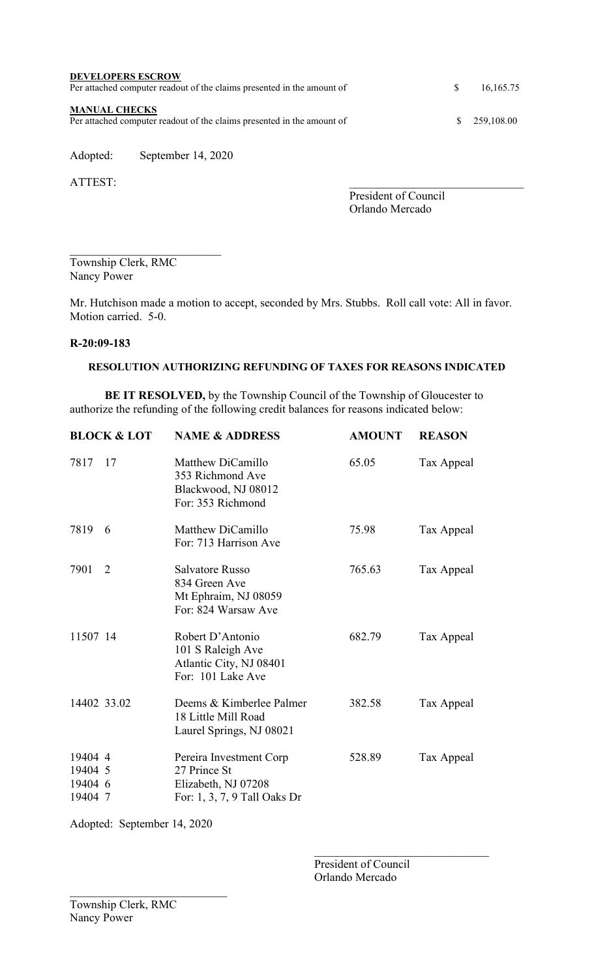| <b>DEVELOPERS ESCROW</b><br>Per attached computer readout of the claims presented in the amount of | <sup>\$</sup> | 16,165.75  |
|----------------------------------------------------------------------------------------------------|---------------|------------|
| <b>MANUAL CHECKS</b><br>Per attached computer readout of the claims presented in the amount of     | SS.           | 259,108.00 |

Adopted: September 14, 2020

ATTEST:

President of Council Orlando Mercado

\_\_\_\_\_\_\_\_\_\_\_\_\_\_\_\_\_\_\_\_\_\_\_\_\_\_ Township Clerk, RMC Nancy Power

Mr. Hutchison made a motion to accept, seconded by Mrs. Stubbs. Roll call vote: All in favor. Motion carried. 5-0.

# **R-20:09-183**

# **RESOLUTION AUTHORIZING REFUNDING OF TAXES FOR REASONS INDICATED**

**BE IT RESOLVED,** by the Township Council of the Township of Gloucester to authorize the refunding of the following credit balances for reasons indicated below:

|                                          | <b>BLOCK &amp; LOT</b> | <b>NAME &amp; ADDRESS</b>                                                                      | <b>AMOUNT</b> | <b>REASON</b> |
|------------------------------------------|------------------------|------------------------------------------------------------------------------------------------|---------------|---------------|
| 7817                                     | 17                     | Matthew DiCamillo<br>353 Richmond Ave<br>Blackwood, NJ 08012<br>For: 353 Richmond              | 65.05         | Tax Appeal    |
| 7819                                     | 6                      | Matthew DiCamillo<br>For: 713 Harrison Ave                                                     | 75.98         | Tax Appeal    |
| 7901                                     | 2                      | <b>Salvatore Russo</b><br>834 Green Ave<br>Mt Ephraim, NJ 08059<br>For: 824 Warsaw Ave         | 765.63        | Tax Appeal    |
| 11507 14                                 |                        | Robert D'Antonio<br>101 S Raleigh Ave<br>Atlantic City, NJ 08401<br>For: 101 Lake Ave          | 682.79        | Tax Appeal    |
| 14402 33.02                              |                        | Deems & Kimberlee Palmer<br>18 Little Mill Road<br>Laurel Springs, NJ 08021                    | 382.58        | Tax Appeal    |
| 19404 4<br>19404 5<br>19404 6<br>19404 7 |                        | Pereira Investment Corp<br>27 Prince St<br>Elizabeth, NJ 07208<br>For: 1, 3, 7, 9 Tall Oaks Dr | 528.89        | Tax Appeal    |

Adopted: September 14, 2020

President of Council Orlando Mercado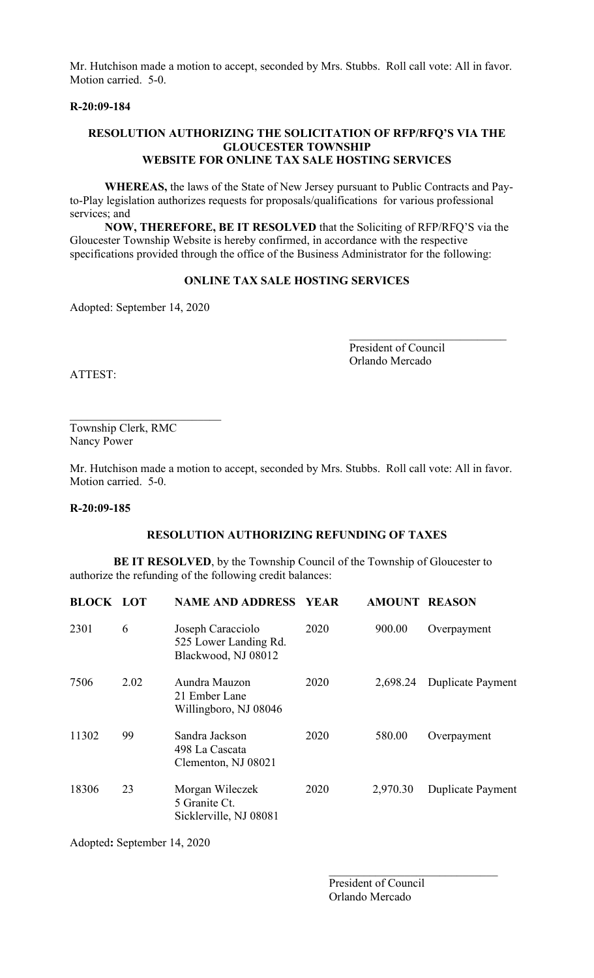Mr. Hutchison made a motion to accept, seconded by Mrs. Stubbs. Roll call vote: All in favor. Motion carried. 5-0.

# **R-20:09-184**

#### **RESOLUTION AUTHORIZING THE SOLICITATION OF RFP/RFQ'S VIA THE GLOUCESTER TOWNSHIP WEBSITE FOR ONLINE TAX SALE HOSTING SERVICES**

**WHEREAS,** the laws of the State of New Jersey pursuant to Public Contracts and Payto-Play legislation authorizes requests for proposals/qualifications for various professional services; and

**NOW, THEREFORE, BE IT RESOLVED** that the Soliciting of RFP/RFQ'S via the Gloucester Township Website is hereby confirmed, in accordance with the respective specifications provided through the office of the Business Administrator for the following:

# **ONLINE TAX SALE HOSTING SERVICES**

Adopted: September 14, 2020

President of Council Orlando Mercado

ATTEST:

\_\_\_\_\_\_\_\_\_\_\_\_\_\_\_\_\_\_\_\_\_\_\_\_\_\_ Township Clerk, RMC Nancy Power

Mr. Hutchison made a motion to accept, seconded by Mrs. Stubbs. Roll call vote: All in favor. Motion carried. 5-0.

#### **R-20:09-185**

# **RESOLUTION AUTHORIZING REFUNDING OF TAXES**

**BE IT RESOLVED**, by the Township Council of the Township of Gloucester to authorize the refunding of the following credit balances:

| <b>BLOCK LOT</b> |      | <b>NAME AND ADDRESS</b>                                           | <b>YEAR</b> | <b>AMOUNT REASON</b> |                          |
|------------------|------|-------------------------------------------------------------------|-------------|----------------------|--------------------------|
| 2301             | 6    | Joseph Caracciolo<br>525 Lower Landing Rd.<br>Blackwood, NJ 08012 | 2020        | 900.00               | Overpayment              |
| 7506             | 2.02 | Aundra Mauzon<br>21 Ember Lane<br>Willingboro, NJ 08046           | 2020        | 2,698.24             | <b>Duplicate Payment</b> |
| 11302            | 99   | Sandra Jackson<br>498 La Cascata<br>Clementon, NJ 08021           | 2020        | 580.00               | Overpayment              |
| 18306            | 23   | Morgan Wileczek<br>5 Granite Ct.<br>Sicklerville, NJ 08081        | 2020        | 2,970.30             | <b>Duplicate Payment</b> |

Adopted**:** September 14, 2020

 President of Council Orlando Mercado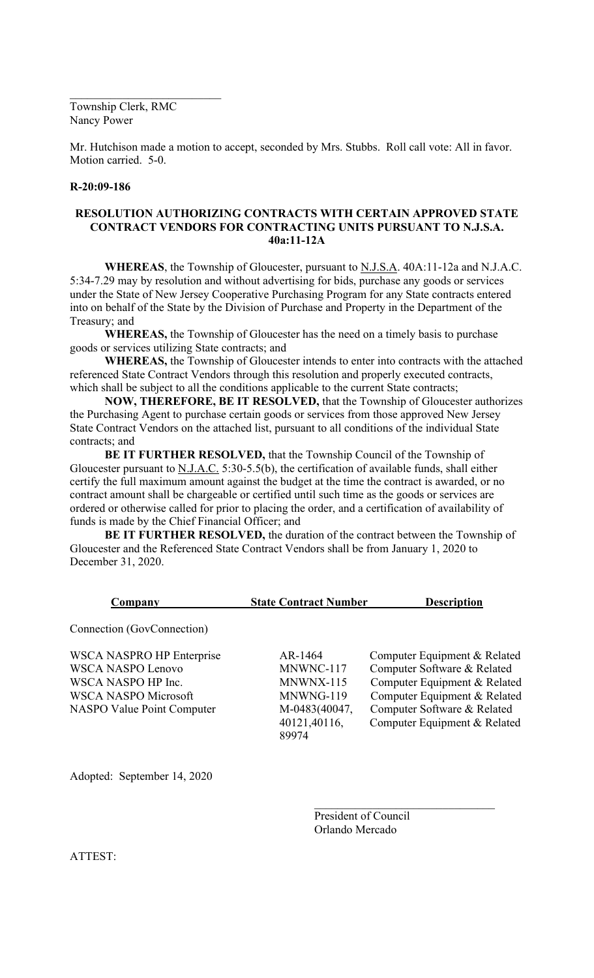Township Clerk, RMC Nancy Power

\_\_\_\_\_\_\_\_\_\_\_\_\_\_\_\_\_\_\_\_\_\_\_\_\_\_

Mr. Hutchison made a motion to accept, seconded by Mrs. Stubbs. Roll call vote: All in favor. Motion carried. 5-0.

#### **R-20:09-186**

# **RESOLUTION AUTHORIZING CONTRACTS WITH CERTAIN APPROVED STATE CONTRACT VENDORS FOR CONTRACTING UNITS PURSUANT TO N.J.S.A. 40a:11-12A**

**WHEREAS**, the Township of Gloucester, pursuant to N.J.S.A. 40A:11-12a and N.J.A.C. 5:34-7.29 may by resolution and without advertising for bids, purchase any goods or services under the State of New Jersey Cooperative Purchasing Program for any State contracts entered into on behalf of the State by the Division of Purchase and Property in the Department of the Treasury; and

**WHEREAS,** the Township of Gloucester has the need on a timely basis to purchase goods or services utilizing State contracts; and

**WHEREAS,** the Township of Gloucester intends to enter into contracts with the attached referenced State Contract Vendors through this resolution and properly executed contracts, which shall be subject to all the conditions applicable to the current State contracts;

**NOW, THEREFORE, BE IT RESOLVED,** that the Township of Gloucester authorizes the Purchasing Agent to purchase certain goods or services from those approved New Jersey State Contract Vendors on the attached list, pursuant to all conditions of the individual State contracts; and

**BE IT FURTHER RESOLVED,** that the Township Council of the Township of Gloucester pursuant to N.J.A.C. 5:30-5.5(b), the certification of available funds, shall either certify the full maximum amount against the budget at the time the contract is awarded, or no contract amount shall be chargeable or certified until such time as the goods or services are ordered or otherwise called for prior to placing the order, and a certification of availability of funds is made by the Chief Financial Officer; and

**BE IT FURTHER RESOLVED,** the duration of the contract between the Township of Gloucester and the Referenced State Contract Vendors shall be from January 1, 2020 to December 31, 2020.

| Company                                                                                                                                                | <b>State Contract Number</b>                                                             | <b>Description</b>                                                                                                                                                                         |
|--------------------------------------------------------------------------------------------------------------------------------------------------------|------------------------------------------------------------------------------------------|--------------------------------------------------------------------------------------------------------------------------------------------------------------------------------------------|
| Connection (GovConnection)                                                                                                                             |                                                                                          |                                                                                                                                                                                            |
| <b>WSCA NASPRO HP Enterprise</b><br><b>WSCA NASPO Lenovo</b><br>WSCA NASPO HP Inc.<br><b>WSCA NASPO Microsoft</b><br><b>NASPO Value Point Computer</b> | AR-1464<br>MNWNC-117<br>MNWNX-115<br>MNWNG-119<br>M-0483(40047,<br>40121,40116,<br>89974 | Computer Equipment & Related<br>Computer Software & Related<br>Computer Equipment & Related<br>Computer Equipment & Related<br>Computer Software & Related<br>Computer Equipment & Related |
|                                                                                                                                                        |                                                                                          |                                                                                                                                                                                            |

Adopted: September 14, 2020

President of Council Orlando Mercado

ATTEST: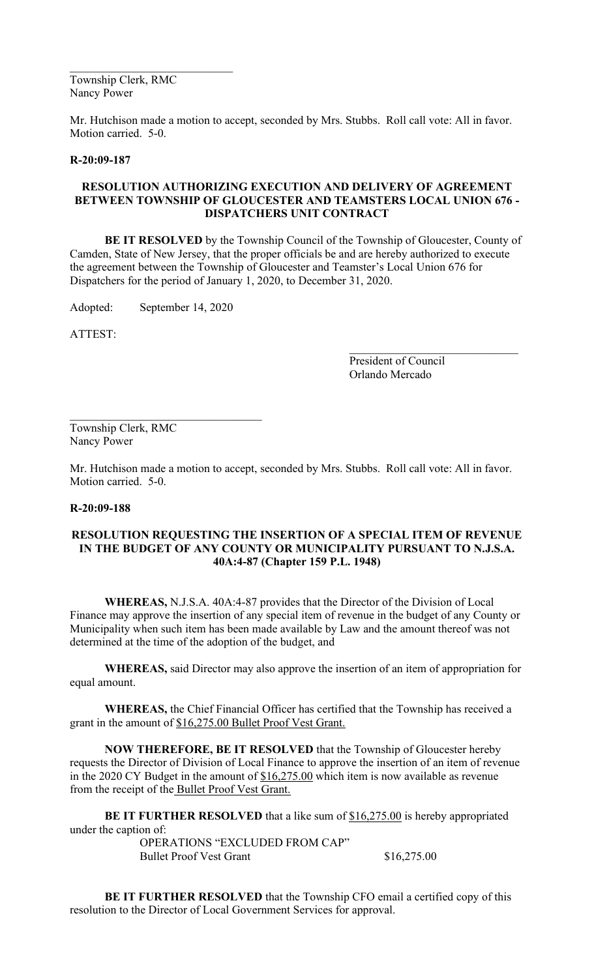Township Clerk, RMC Nancy Power

Mr. Hutchison made a motion to accept, seconded by Mrs. Stubbs. Roll call vote: All in favor. Motion carried. 5-0.

#### **R-20:09-187**

# **RESOLUTION AUTHORIZING EXECUTION AND DELIVERY OF AGREEMENT BETWEEN TOWNSHIP OF GLOUCESTER AND TEAMSTERS LOCAL UNION 676 - DISPATCHERS UNIT CONTRACT**

**BE IT RESOLVED** by the Township Council of the Township of Gloucester, County of Camden, State of New Jersey, that the proper officials be and are hereby authorized to execute the agreement between the Township of Gloucester and Teamster's Local Union 676 for Dispatchers for the period of January 1, 2020, to December 31, 2020.

Adopted: September 14, 2020

 $\mathcal{L}_\mathcal{L}$  , where  $\mathcal{L}_\mathcal{L}$  , we are the set of the set of the set of the set of the set of the set of the set of the set of the set of the set of the set of the set of the set of the set of the set of the set o

ATTEST:

President of Council Orlando Mercado

 $\mathcal{L}_\mathcal{L}$  , which is a set of the set of the set of the set of the set of the set of the set of the set of the set of the set of the set of the set of the set of the set of the set of the set of the set of the set of

Township Clerk, RMC Nancy Power

Mr. Hutchison made a motion to accept, seconded by Mrs. Stubbs. Roll call vote: All in favor. Motion carried. 5-0.

#### **R-20:09-188**

## **RESOLUTION REQUESTING THE INSERTION OF A SPECIAL ITEM OF REVENUE IN THE BUDGET OF ANY COUNTY OR MUNICIPALITY PURSUANT TO N.J.S.A. 40A:4-87 (Chapter 159 P.L. 1948)**

**WHEREAS,** N.J.S.A. 40A:4-87 provides that the Director of the Division of Local Finance may approve the insertion of any special item of revenue in the budget of any County or Municipality when such item has been made available by Law and the amount thereof was not determined at the time of the adoption of the budget, and

**WHEREAS,** said Director may also approve the insertion of an item of appropriation for equal amount.

**WHEREAS,** the Chief Financial Officer has certified that the Township has received a grant in the amount of \$16,275.00 Bullet Proof Vest Grant.

**NOW THEREFORE, BE IT RESOLVED** that the Township of Gloucester hereby requests the Director of Division of Local Finance to approve the insertion of an item of revenue in the 2020 CY Budget in the amount of  $$16,275.00$  which item is now available as revenue from the receipt of the Bullet Proof Vest Grant.

**BE IT FURTHER RESOLVED** that a like sum of \$16,275.00 is hereby appropriated under the caption of:

OPERATIONS "EXCLUDED FROM CAP" Bullet Proof Vest Grant \$16,275.00

**BE IT FURTHER RESOLVED** that the Township CFO email a certified copy of this resolution to the Director of Local Government Services for approval.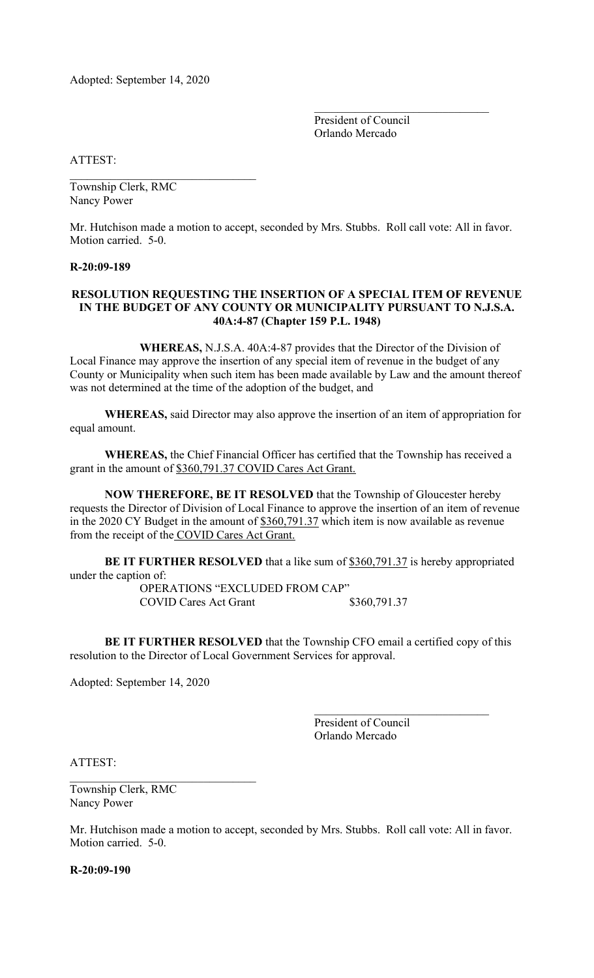Adopted: September 14, 2020

 $\mathcal{L}_\text{max}$  , which is a set of the set of the set of the set of the set of the set of the set of the set of the set of the set of the set of the set of the set of the set of the set of the set of the set of the set of

President of Council Orlando Mercado

\_\_\_\_\_\_\_\_\_\_\_\_\_\_\_\_\_\_\_\_\_\_\_\_\_\_\_\_\_\_

ATTEST:

Township Clerk, RMC Nancy Power

Mr. Hutchison made a motion to accept, seconded by Mrs. Stubbs. Roll call vote: All in favor. Motion carried. 5-0.

#### **R-20:09-189**

## **RESOLUTION REQUESTING THE INSERTION OF A SPECIAL ITEM OF REVENUE IN THE BUDGET OF ANY COUNTY OR MUNICIPALITY PURSUANT TO N.J.S.A. 40A:4-87 (Chapter 159 P.L. 1948)**

**WHEREAS,** N.J.S.A. 40A:4-87 provides that the Director of the Division of Local Finance may approve the insertion of any special item of revenue in the budget of any County or Municipality when such item has been made available by Law and the amount thereof was not determined at the time of the adoption of the budget, and

**WHEREAS,** said Director may also approve the insertion of an item of appropriation for equal amount.

**WHEREAS,** the Chief Financial Officer has certified that the Township has received a grant in the amount of \$360,791.37 COVID Cares Act Grant.

**NOW THEREFORE, BE IT RESOLVED** that the Township of Gloucester hereby requests the Director of Division of Local Finance to approve the insertion of an item of revenue in the 2020 CY Budget in the amount of \$360,791.37 which item is now available as revenue from the receipt of the COVID Cares Act Grant.

**BE IT FURTHER RESOLVED** that a like sum of \$360,791.37 is hereby appropriated under the caption of:

OPERATIONS "EXCLUDED FROM CAP" COVID Cares Act Grant \$360,791.37

**BE IT FURTHER RESOLVED** that the Township CFO email a certified copy of this resolution to the Director of Local Government Services for approval.

Adopted: September 14, 2020

President of Council Orlando Mercado

ATTEST:

Township Clerk, RMC Nancy Power

Mr. Hutchison made a motion to accept, seconded by Mrs. Stubbs. Roll call vote: All in favor. Motion carried. 5-0.

**R-20:09-190**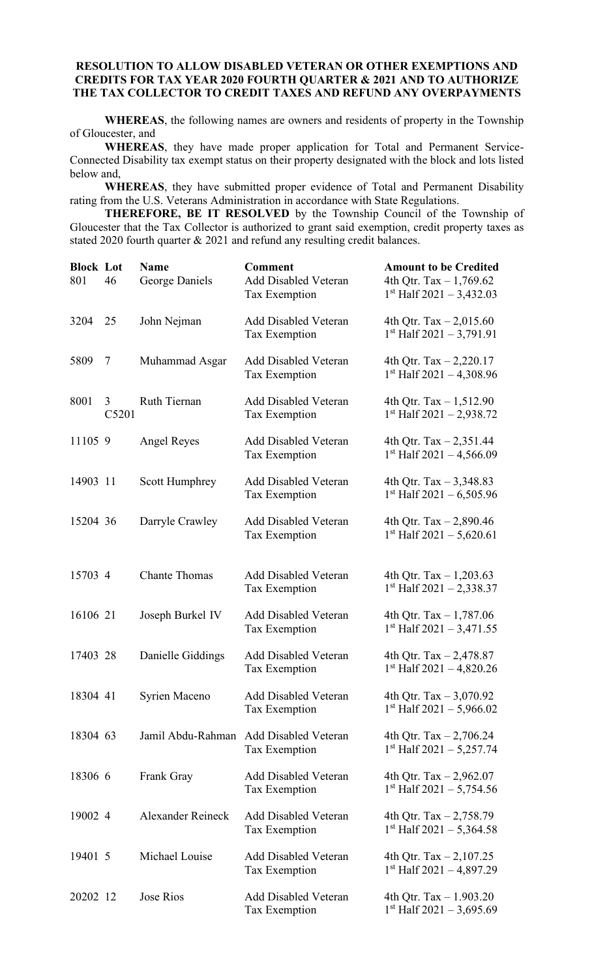# **RESOLUTION TO ALLOW DISABLED VETERAN OR OTHER EXEMPTIONS AND CREDITS FOR TAX YEAR 2020 FOURTH QUARTER & 2021 AND TO AUTHORIZE THE TAX COLLECTOR TO CREDIT TAXES AND REFUND ANY OVERPAYMENTS**

**WHEREAS**, the following names are owners and residents of property in the Township of Gloucester, and

**WHEREAS**, they have made proper application for Total and Permanent Service-Connected Disability tax exempt status on their property designated with the block and lots listed below and,

**WHEREAS**, they have submitted proper evidence of Total and Permanent Disability rating from the U.S. Veterans Administration in accordance with State Regulations.

**THEREFORE, BE IT RESOLVED** by the Township Council of the Township of Gloucester that the Tax Collector is authorized to grant said exemption, credit property taxes as stated 2020 fourth quarter & 2021 and refund any resulting credit balances.

| <b>Block Lot</b><br>801 | 46         | <b>Name</b><br>George Daniels | <b>Comment</b><br><b>Add Disabled Veteran</b><br>Tax Exemption | <b>Amount to be Credited</b><br>4th Qtr. Tax $-1,769.62$<br>$1st$ Half 2021 - 3,432.03 |
|-------------------------|------------|-------------------------------|----------------------------------------------------------------|----------------------------------------------------------------------------------------|
| 3204                    | 25         | John Nejman                   | <b>Add Disabled Veteran</b><br>Tax Exemption                   | 4th Qtr. Tax $- 2,015.60$<br>$1st$ Half 2021 - 3,791.91                                |
| 5809                    | 7          | Muhammad Asgar                | <b>Add Disabled Veteran</b><br>Tax Exemption                   | 4th Qtr. Tax $-2,220.17$<br>$1st$ Half 2021 - 4,308.96                                 |
| 8001                    | 3<br>C5201 | Ruth Tiernan                  | <b>Add Disabled Veteran</b><br>Tax Exemption                   | 4th Qtr. Tax $-1,512.90$<br>$1st$ Half 2021 – 2,938.72                                 |
| 11105 9                 |            | <b>Angel Reyes</b>            | <b>Add Disabled Veteran</b><br>Tax Exemption                   | 4th Qtr. Tax $-2,351.44$<br>$1st$ Half 2021 - 4,566.09                                 |
| 14903 11                |            | <b>Scott Humphrey</b>         | <b>Add Disabled Veteran</b><br>Tax Exemption                   | 4th Qtr. Tax $-3,348.83$<br>$1st$ Half 2021 – 6,505.96                                 |
| 15204 36                |            | Darryle Crawley               | <b>Add Disabled Veteran</b><br>Tax Exemption                   | 4th Qtr. Tax $-2,890.46$<br>$1st$ Half 2021 - 5,620.61                                 |
| 15703 4                 |            | <b>Chante Thomas</b>          | <b>Add Disabled Veteran</b><br>Tax Exemption                   | 4th Qtr. Tax $-1,203.63$<br>$1st$ Half 2021 – 2,338.37                                 |
| 16106 21                |            | Joseph Burkel IV              | <b>Add Disabled Veteran</b><br>Tax Exemption                   | 4th Qtr. Tax $-1,787.06$<br>$1st$ Half 2021 - 3,471.55                                 |
| 17403 28                |            | Danielle Giddings             | <b>Add Disabled Veteran</b><br>Tax Exemption                   | 4th Qtr. Tax $-2,478.87$<br>$1st$ Half 2021 – 4,820.26                                 |
| 18304 41                |            | Syrien Maceno                 | <b>Add Disabled Veteran</b><br>Tax Exemption                   | 4th Qtr. Tax $-3,070.92$<br>$1st$ Half 2021 – 5,966.02                                 |
| 18304 63                |            |                               | Jamil Abdu-Rahman Add Disabled Veteran<br>Tax Exemption        | 4th Qtr. Tax $-2,706.24$<br>$1st$ Half 2021 - 5,257.74                                 |
| 18306 6                 |            | Frank Gray                    | <b>Add Disabled Veteran</b><br>Tax Exemption                   | 4th Qtr. Tax $- 2,962.07$<br>$1st$ Half 2021 - 5,754.56                                |
| 19002 4                 |            | <b>Alexander Reineck</b>      | <b>Add Disabled Veteran</b><br>Tax Exemption                   | 4th Qtr. Tax $-2,758.79$<br>$1st$ Half 2021 - 5,364.58                                 |
| 19401 5                 |            | Michael Louise                | <b>Add Disabled Veteran</b><br>Tax Exemption                   | 4th Qtr. Tax $- 2,107.25$<br>$1st$ Half 2021 - 4,897.29                                |
| 20202 12                |            | Jose Rios                     | <b>Add Disabled Veteran</b><br>Tax Exemption                   | 4th Qtr. Tax $-1.903.20$<br>$1st$ Half 2021 – 3,695.69                                 |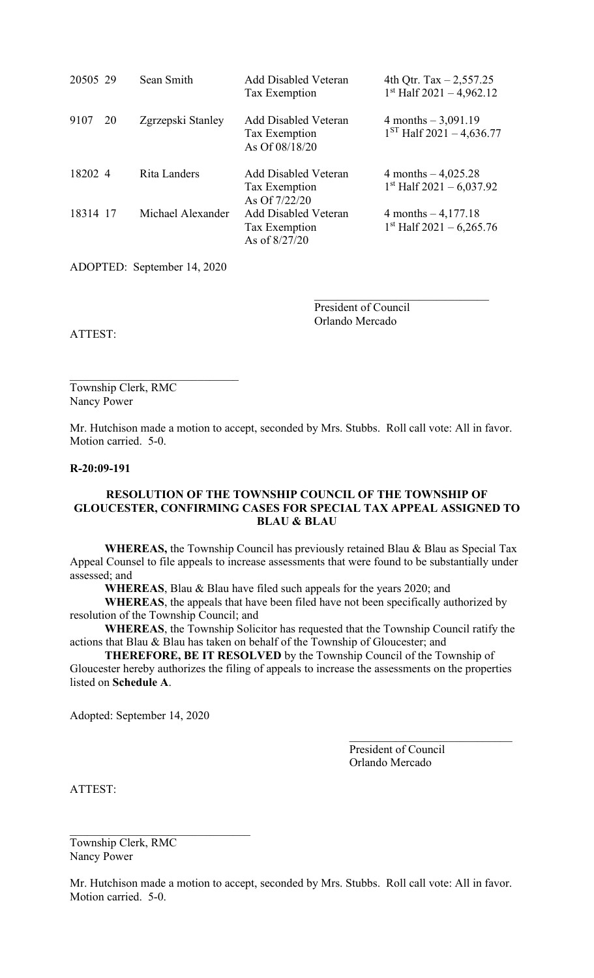| 20505 29 |           | Sean Smith        | <b>Add Disabled Veteran</b><br>Tax Exemption                   | 4th Qtr. Tax $-2,557.25$<br>$1st$ Half 2021 - 4,962.12 |
|----------|-----------|-------------------|----------------------------------------------------------------|--------------------------------------------------------|
| 9107     | <b>20</b> | Zgrzepski Stanley | <b>Add Disabled Veteran</b><br>Tax Exemption<br>As Of 08/18/20 | 4 months $-3,091.19$<br>$1ST$ Half 2021 - 4,636.77     |
| 18202 4  |           | Rita Landers      | Add Disabled Veteran<br>Tax Exemption<br>As Of 7/22/20         | 4 months $-4,025.28$<br>$1st$ Half 2021 – 6,037.92     |
| 18314 17 |           | Michael Alexander | Add Disabled Veteran<br>Tax Exemption<br>As of 8/27/20         | 4 months $-4,177.18$<br>$1st$ Half 2021 – 6,265.76     |

ADOPTED: September 14, 2020

 $\mathcal{L}_\mathcal{L}$  , which is a set of the set of the set of the set of the set of the set of the set of the set of the set of the set of the set of the set of the set of the set of the set of the set of the set of the set of

President of Council Orlando Mercado

ATTEST:

Township Clerk, RMC Nancy Power

Mr. Hutchison made a motion to accept, seconded by Mrs. Stubbs. Roll call vote: All in favor. Motion carried. 5-0.

#### **R-20:09-191**

# **RESOLUTION OF THE TOWNSHIP COUNCIL OF THE TOWNSHIP OF GLOUCESTER, CONFIRMING CASES FOR SPECIAL TAX APPEAL ASSIGNED TO BLAU & BLAU**

**WHEREAS,** the Township Council has previously retained Blau & Blau as Special Tax Appeal Counsel to file appeals to increase assessments that were found to be substantially under assessed; and

**WHEREAS**, Blau & Blau have filed such appeals for the years 2020; and

**WHEREAS**, the appeals that have been filed have not been specifically authorized by resolution of the Township Council; and

**WHEREAS**, the Township Solicitor has requested that the Township Council ratify the actions that Blau & Blau has taken on behalf of the Township of Gloucester; and

**THEREFORE, BE IT RESOLVED** by the Township Council of the Township of Gloucester hereby authorizes the filing of appeals to increase the assessments on the properties listed on **Schedule A**.

Adopted: September 14, 2020

President of Council Orlando Mercado

ATTEST:

Township Clerk, RMC Nancy Power

 $\mathcal{L}_\mathcal{L}$ 

Mr. Hutchison made a motion to accept, seconded by Mrs. Stubbs. Roll call vote: All in favor. Motion carried. 5-0.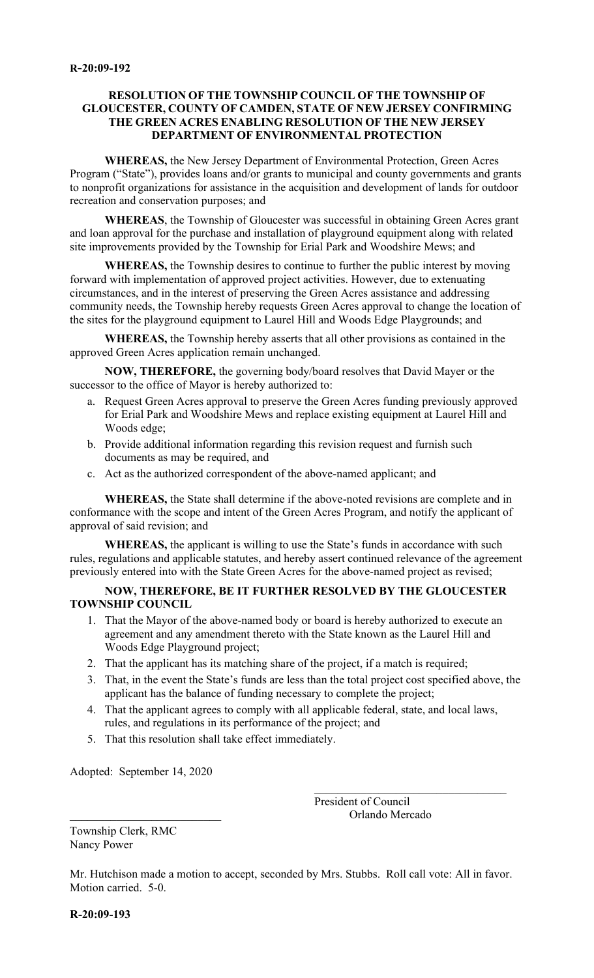# **RESOLUTION OF THE TOWNSHIP COUNCIL OF THE TOWNSHIP OF GLOUCESTER, COUNTY OF CAMDEN, STATE OF NEW JERSEY CONFIRMING THE GREEN ACRES ENABLING RESOLUTION OF THE NEW JERSEY DEPARTMENT OF ENVIRONMENTAL PROTECTION**

**WHEREAS,** the New Jersey Department of Environmental Protection, Green Acres Program ("State"), provides loans and/or grants to municipal and county governments and grants to nonprofit organizations for assistance in the acquisition and development of lands for outdoor recreation and conservation purposes; and

**WHEREAS**, the Township of Gloucester was successful in obtaining Green Acres grant and loan approval for the purchase and installation of playground equipment along with related site improvements provided by the Township for Erial Park and Woodshire Mews; and

**WHEREAS,** the Township desires to continue to further the public interest by moving forward with implementation of approved project activities. However, due to extenuating circumstances, and in the interest of preserving the Green Acres assistance and addressing community needs, the Township hereby requests Green Acres approval to change the location of the sites for the playground equipment to Laurel Hill and Woods Edge Playgrounds; and

**WHEREAS,** the Township hereby asserts that all other provisions as contained in the approved Green Acres application remain unchanged.

**NOW, THEREFORE,** the governing body/board resolves that David Mayer or the successor to the office of Mayor is hereby authorized to:

- a. Request Green Acres approval to preserve the Green Acres funding previously approved for Erial Park and Woodshire Mews and replace existing equipment at Laurel Hill and Woods edge;
- b. Provide additional information regarding this revision request and furnish such documents as may be required, and
- c. Act as the authorized correspondent of the above-named applicant; and

**WHEREAS,** the State shall determine if the above-noted revisions are complete and in conformance with the scope and intent of the Green Acres Program, and notify the applicant of approval of said revision; and

**WHEREAS,** the applicant is willing to use the State's funds in accordance with such rules, regulations and applicable statutes, and hereby assert continued relevance of the agreement previously entered into with the State Green Acres for the above-named project as revised;

**NOW, THEREFORE, BE IT FURTHER RESOLVED BY THE GLOUCESTER TOWNSHIP COUNCIL**

- 1. That the Mayor of the above-named body or board is hereby authorized to execute an agreement and any amendment thereto with the State known as the Laurel Hill and Woods Edge Playground project;
- 2. That the applicant has its matching share of the project, if a match is required;
- 3. That, in the event the State's funds are less than the total project cost specified above, the applicant has the balance of funding necessary to complete the project;
- 4. That the applicant agrees to comply with all applicable federal, state, and local laws, rules, and regulations in its performance of the project; and
- 5. That this resolution shall take effect immediately.

Adopted: September 14, 2020

President of Council \_\_\_\_\_\_\_\_\_\_\_\_\_\_\_\_\_\_\_\_\_\_\_\_\_\_ Orlando Mercado

Township Clerk, RMC Nancy Power

Mr. Hutchison made a motion to accept, seconded by Mrs. Stubbs. Roll call vote: All in favor. Motion carried. 5-0.

**R-20:09-193**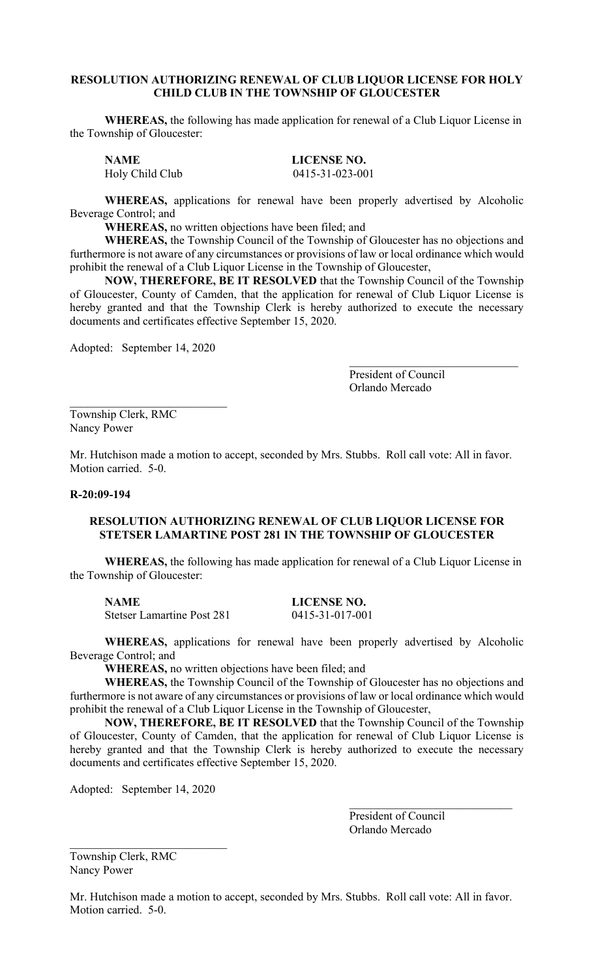# **RESOLUTION AUTHORIZING RENEWAL OF CLUB LIQUOR LICENSE FOR HOLY CHILD CLUB IN THE TOWNSHIP OF GLOUCESTER**

**WHEREAS,** the following has made application for renewal of a Club Liquor License in the Township of Gloucester:

**NAME LICENSE NO.** Holy Child Club 0415-31-023-001

**WHEREAS,** applications for renewal have been properly advertised by Alcoholic Beverage Control; and

**WHEREAS,** no written objections have been filed; and

**WHEREAS,** the Township Council of the Township of Gloucester has no objections and furthermore is not aware of any circumstances or provisions of law or local ordinance which would prohibit the renewal of a Club Liquor License in the Township of Gloucester,

**NOW, THEREFORE, BE IT RESOLVED** that the Township Council of the Township of Gloucester, County of Camden, that the application for renewal of Club Liquor License is hereby granted and that the Township Clerk is hereby authorized to execute the necessary documents and certificates effective September 15, 2020.

Adopted: September 14, 2020

President of Council Orlando Mercado

Township Clerk, RMC Nancy Power

Mr. Hutchison made a motion to accept, seconded by Mrs. Stubbs. Roll call vote: All in favor. Motion carried. 5-0.

#### **R-20:09-194**

#### **RESOLUTION AUTHORIZING RENEWAL OF CLUB LIQUOR LICENSE FOR STETSER LAMARTINE POST 281 IN THE TOWNSHIP OF GLOUCESTER**

**WHEREAS,** the following has made application for renewal of a Club Liquor License in the Township of Gloucester:

**NAME LICENSE NO.** Stetser Lamartine Post 281 0415-31-017-001

**WHEREAS,** applications for renewal have been properly advertised by Alcoholic Beverage Control; and

**WHEREAS,** no written objections have been filed; and

**WHEREAS,** the Township Council of the Township of Gloucester has no objections and furthermore is not aware of any circumstances or provisions of law or local ordinance which would prohibit the renewal of a Club Liquor License in the Township of Gloucester,

**NOW, THEREFORE, BE IT RESOLVED** that the Township Council of the Township of Gloucester, County of Camden, that the application for renewal of Club Liquor License is hereby granted and that the Township Clerk is hereby authorized to execute the necessary documents and certificates effective September 15, 2020.

Adopted: September 14, 2020

President of Council Orlando Mercado

Township Clerk, RMC Nancy Power

Mr. Hutchison made a motion to accept, seconded by Mrs. Stubbs. Roll call vote: All in favor. Motion carried. 5-0.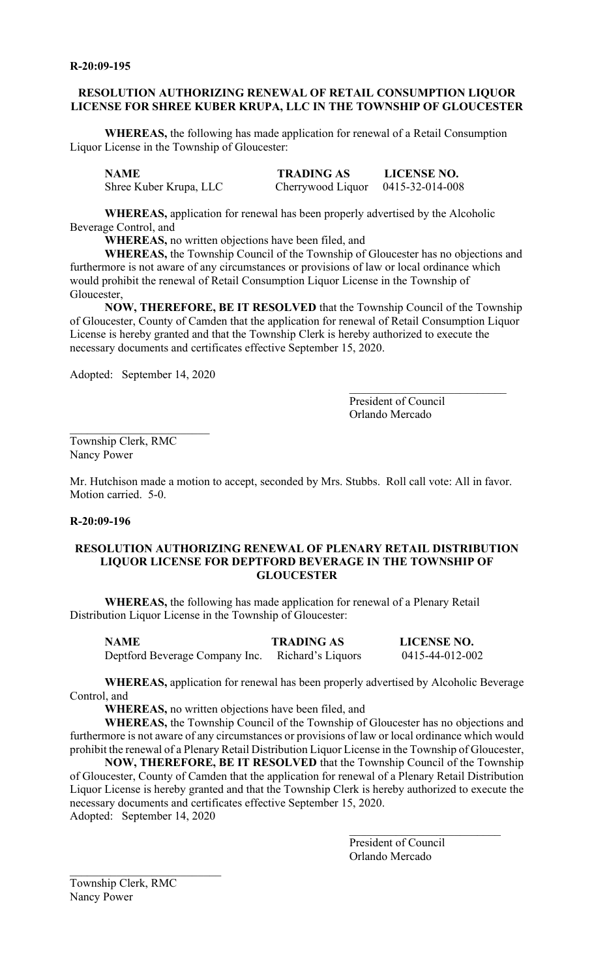# **RESOLUTION AUTHORIZING RENEWAL OF RETAIL CONSUMPTION LIQUOR LICENSE FOR SHREE KUBER KRUPA, LLC IN THE TOWNSHIP OF GLOUCESTER**

**WHEREAS,** the following has made application for renewal of a Retail Consumption Liquor License in the Township of Gloucester:

| NAME                   | <b>TRADING AS</b>                   | <b>LICENSE NO.</b> |
|------------------------|-------------------------------------|--------------------|
| Shree Kuber Krupa, LLC | Cherrywood Liquor $0415-32-014-008$ |                    |

**WHEREAS,** application for renewal has been properly advertised by the Alcoholic Beverage Control, and

**WHEREAS,** no written objections have been filed, and

**WHEREAS,** the Township Council of the Township of Gloucester has no objections and furthermore is not aware of any circumstances or provisions of law or local ordinance which would prohibit the renewal of Retail Consumption Liquor License in the Township of Gloucester,

**NOW, THEREFORE, BE IT RESOLVED** that the Township Council of the Township of Gloucester, County of Camden that the application for renewal of Retail Consumption Liquor License is hereby granted and that the Township Clerk is hereby authorized to execute the necessary documents and certificates effective September 15, 2020.

Adopted: September 14, 2020

President of Council Orlando Mercado

 $\mathcal{L}_\text{max}$  , where  $\mathcal{L}_\text{max}$  and  $\mathcal{L}_\text{max}$ 

Township Clerk, RMC Nancy Power

Mr. Hutchison made a motion to accept, seconded by Mrs. Stubbs. Roll call vote: All in favor. Motion carried. 5-0.

#### **R-20:09-196**

## **RESOLUTION AUTHORIZING RENEWAL OF PLENARY RETAIL DISTRIBUTION LIQUOR LICENSE FOR DEPTFORD BEVERAGE IN THE TOWNSHIP OF GLOUCESTER**

**WHEREAS,** the following has made application for renewal of a Plenary Retail Distribution Liquor License in the Township of Gloucester:

| <b>NAME</b>                                      | <b>TRADING AS</b> | <b>LICENSE NO.</b> |
|--------------------------------------------------|-------------------|--------------------|
| Deptford Beverage Company Inc. Richard's Liquors |                   | 0415-44-012-002    |

**WHEREAS,** application for renewal has been properly advertised by Alcoholic Beverage Control, and

**WHEREAS,** no written objections have been filed, and

**WHEREAS,** the Township Council of the Township of Gloucester has no objections and furthermore is not aware of any circumstances or provisions of law or local ordinance which would prohibit the renewal of a Plenary Retail Distribution Liquor License in the Township of Gloucester,

**NOW, THEREFORE, BE IT RESOLVED** that the Township Council of the Township of Gloucester, County of Camden that the application for renewal of a Plenary Retail Distribution Liquor License is hereby granted and that the Township Clerk is hereby authorized to execute the necessary documents and certificates effective September 15, 2020. Adopted: September 14, 2020

> President of Council Orlando Mercado

\_\_\_\_\_\_\_\_\_\_\_\_\_\_\_\_\_\_\_\_\_\_\_\_\_\_

Township Clerk, RMC Nancy Power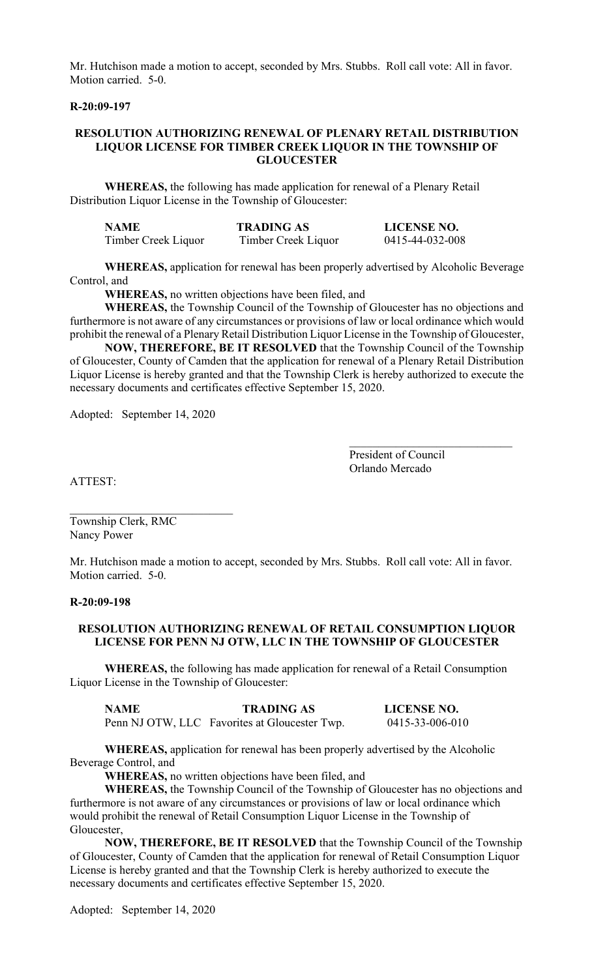Mr. Hutchison made a motion to accept, seconded by Mrs. Stubbs. Roll call vote: All in favor. Motion carried. 5-0.

#### **R-20:09-197**

#### **RESOLUTION AUTHORIZING RENEWAL OF PLENARY RETAIL DISTRIBUTION LIQUOR LICENSE FOR TIMBER CREEK LIQUOR IN THE TOWNSHIP OF GLOUCESTER**

**WHEREAS,** the following has made application for renewal of a Plenary Retail Distribution Liquor License in the Township of Gloucester:

| <b>NAME</b>         | <b>TRADING AS</b>   | <b>LICENSE NO.</b> |
|---------------------|---------------------|--------------------|
| Timber Creek Liquor | Timber Creek Liquor | 0415-44-032-008    |

**WHEREAS,** application for renewal has been properly advertised by Alcoholic Beverage Control, and

**WHEREAS,** no written objections have been filed, and

**WHEREAS,** the Township Council of the Township of Gloucester has no objections and furthermore is not aware of any circumstances or provisions of law or local ordinance which would prohibit the renewal of a Plenary Retail Distribution Liquor License in the Township of Gloucester,

**NOW, THEREFORE, BE IT RESOLVED** that the Township Council of the Township of Gloucester, County of Camden that the application for renewal of a Plenary Retail Distribution Liquor License is hereby granted and that the Township Clerk is hereby authorized to execute the necessary documents and certificates effective September 15, 2020.

Adopted: September 14, 2020

President of Council Orlando Mercado

 $\mathcal{L}_\mathcal{L}$  , which is a set of the set of the set of the set of the set of the set of the set of the set of the set of the set of the set of the set of the set of the set of the set of the set of the set of the set of

ATTEST:

Township Clerk, RMC Nancy Power

Mr. Hutchison made a motion to accept, seconded by Mrs. Stubbs. Roll call vote: All in favor. Motion carried. 5-0.

#### **R-20:09-198**

#### **RESOLUTION AUTHORIZING RENEWAL OF RETAIL CONSUMPTION LIQUOR LICENSE FOR PENN NJ OTW, LLC IN THE TOWNSHIP OF GLOUCESTER**

**WHEREAS,** the following has made application for renewal of a Retail Consumption Liquor License in the Township of Gloucester:

| <b>NAME</b> | <b>TRADING AS</b>                             | <b>LICENSE NO.</b> |
|-------------|-----------------------------------------------|--------------------|
|             | Penn NJ OTW, LLC Favorites at Gloucester Twp. | 0415-33-006-010    |

**WHEREAS,** application for renewal has been properly advertised by the Alcoholic Beverage Control, and

**WHEREAS,** no written objections have been filed, and

**WHEREAS,** the Township Council of the Township of Gloucester has no objections and furthermore is not aware of any circumstances or provisions of law or local ordinance which would prohibit the renewal of Retail Consumption Liquor License in the Township of Gloucester,

**NOW, THEREFORE, BE IT RESOLVED** that the Township Council of the Township of Gloucester, County of Camden that the application for renewal of Retail Consumption Liquor License is hereby granted and that the Township Clerk is hereby authorized to execute the necessary documents and certificates effective September 15, 2020.

Adopted: September 14, 2020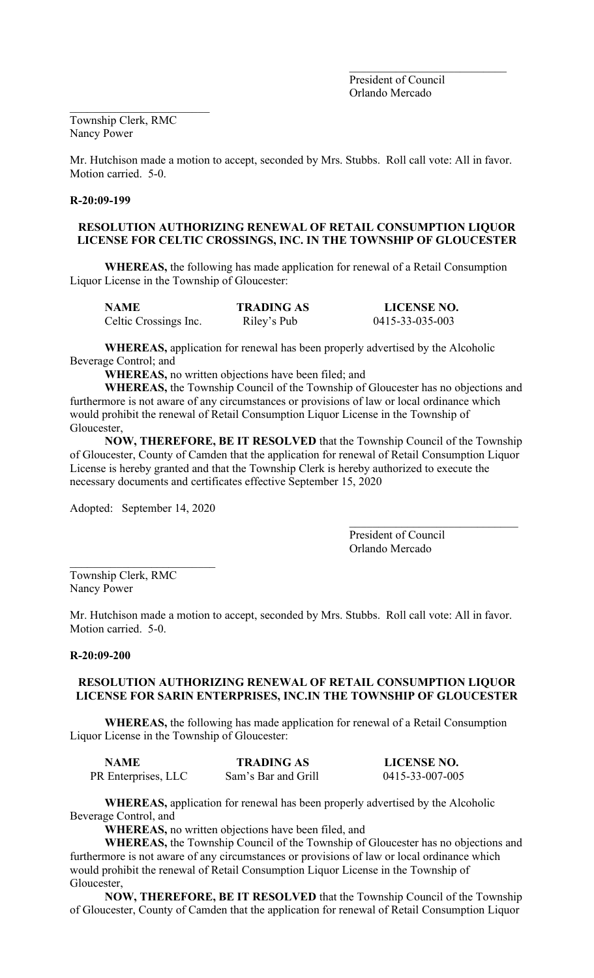President of Council Orlando Mercado

Township Clerk, RMC Nancy Power

\_\_\_\_\_\_\_\_\_\_\_\_\_\_\_\_\_\_\_\_\_\_\_\_

Mr. Hutchison made a motion to accept, seconded by Mrs. Stubbs. Roll call vote: All in favor. Motion carried. 5-0.

# **R-20:09-199**

# **RESOLUTION AUTHORIZING RENEWAL OF RETAIL CONSUMPTION LIQUOR LICENSE FOR CELTIC CROSSINGS, INC. IN THE TOWNSHIP OF GLOUCESTER**

 **WHEREAS,** the following has made application for renewal of a Retail Consumption Liquor License in the Township of Gloucester:

| <b>NAME</b>           | <b>TRADING AS</b> | LICENSE NO.     |
|-----------------------|-------------------|-----------------|
| Celtic Crossings Inc. | Riley's Pub       | 0415-33-035-003 |

**WHEREAS,** application for renewal has been properly advertised by the Alcoholic Beverage Control; and

**WHEREAS,** no written objections have been filed; and

**WHEREAS,** the Township Council of the Township of Gloucester has no objections and furthermore is not aware of any circumstances or provisions of law or local ordinance which would prohibit the renewal of Retail Consumption Liquor License in the Township of Gloucester,

**NOW, THEREFORE, BE IT RESOLVED** that the Township Council of the Township of Gloucester, County of Camden that the application for renewal of Retail Consumption Liquor License is hereby granted and that the Township Clerk is hereby authorized to execute the necessary documents and certificates effective September 15, 2020

Adopted: September 14, 2020

\_\_\_\_\_\_\_\_\_\_\_\_\_\_\_\_\_\_\_\_\_\_\_\_\_

President of Council Orlando Mercado

 $\mathcal{L}_\mathcal{L}$  , which is a set of the set of the set of the set of the set of the set of the set of the set of the set of the set of the set of the set of the set of the set of the set of the set of the set of the set of

Township Clerk, RMC Nancy Power

Mr. Hutchison made a motion to accept, seconded by Mrs. Stubbs. Roll call vote: All in favor. Motion carried. 5-0.

#### **R-20:09-200**

#### **RESOLUTION AUTHORIZING RENEWAL OF RETAIL CONSUMPTION LIQUOR LICENSE FOR SARIN ENTERPRISES, INC.IN THE TOWNSHIP OF GLOUCESTER**

**WHEREAS,** the following has made application for renewal of a Retail Consumption Liquor License in the Township of Gloucester:

| <b>NAME</b>         | <b>TRADING AS</b>   | <b>LICENSE NO.</b> |
|---------------------|---------------------|--------------------|
| PR Enterprises, LLC | Sam's Bar and Grill | 0415-33-007-005    |

**WHEREAS,** application for renewal has been properly advertised by the Alcoholic Beverage Control, and

**WHEREAS,** no written objections have been filed, and

**WHEREAS,** the Township Council of the Township of Gloucester has no objections and furthermore is not aware of any circumstances or provisions of law or local ordinance which would prohibit the renewal of Retail Consumption Liquor License in the Township of Gloucester,

**NOW, THEREFORE, BE IT RESOLVED** that the Township Council of the Township of Gloucester, County of Camden that the application for renewal of Retail Consumption Liquor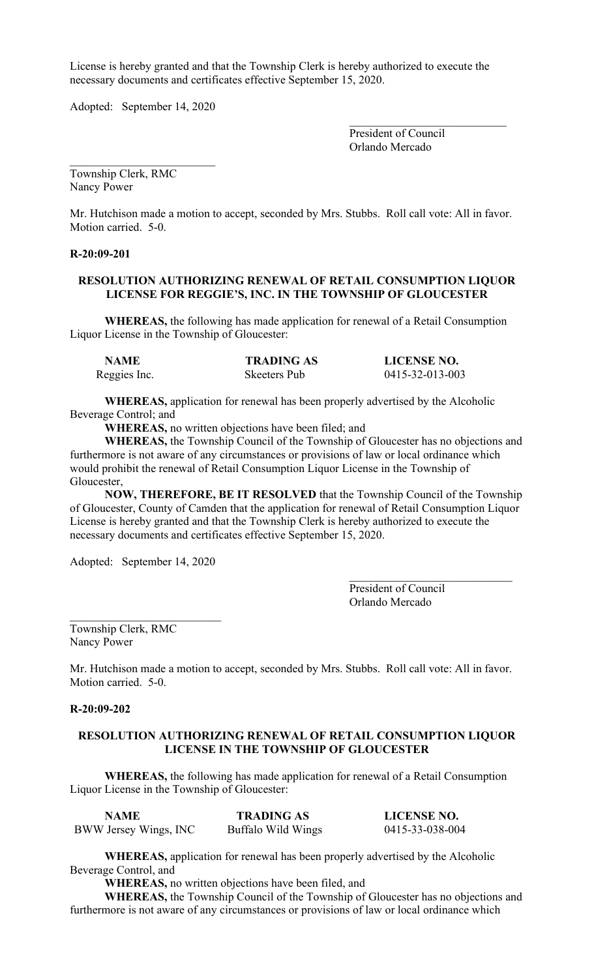License is hereby granted and that the Township Clerk is hereby authorized to execute the necessary documents and certificates effective September 15, 2020.

Adopted: September 14, 2020

 $\mathcal{L}_\text{max}$  , where  $\mathcal{L}_\text{max}$  and  $\mathcal{L}_\text{max}$ President of Council Orlando Mercado

\_\_\_\_\_\_\_\_\_\_\_\_\_\_\_\_\_\_\_\_\_\_\_\_\_ Township Clerk, RMC Nancy Power

Mr. Hutchison made a motion to accept, seconded by Mrs. Stubbs. Roll call vote: All in favor. Motion carried. 5-0.

## **R-20:09-201**

# **RESOLUTION AUTHORIZING RENEWAL OF RETAIL CONSUMPTION LIQUOR LICENSE FOR REGGIE'S, INC. IN THE TOWNSHIP OF GLOUCESTER**

**WHEREAS,** the following has made application for renewal of a Retail Consumption Liquor License in the Township of Gloucester:

| <b>NAME</b>  | <b>TRADING AS</b> | <b>LICENSE NO.</b> |
|--------------|-------------------|--------------------|
| Reggies Inc. | Skeeters Pub      | 0415-32-013-003    |

**WHEREAS,** application for renewal has been properly advertised by the Alcoholic Beverage Control; and

**WHEREAS,** no written objections have been filed; and

**WHEREAS,** the Township Council of the Township of Gloucester has no objections and furthermore is not aware of any circumstances or provisions of law or local ordinance which would prohibit the renewal of Retail Consumption Liquor License in the Township of Gloucester,

**NOW, THEREFORE, BE IT RESOLVED** that the Township Council of the Township of Gloucester, County of Camden that the application for renewal of Retail Consumption Liquor License is hereby granted and that the Township Clerk is hereby authorized to execute the necessary documents and certificates effective September 15, 2020.

Adopted: September 14, 2020

\_\_\_\_\_\_\_\_\_\_\_\_\_\_\_\_\_\_\_\_\_\_\_\_\_\_

President of Council Orlando Mercado

Township Clerk, RMC Nancy Power

Mr. Hutchison made a motion to accept, seconded by Mrs. Stubbs. Roll call vote: All in favor. Motion carried. 5-0.

#### **R-20:09-202**

## **RESOLUTION AUTHORIZING RENEWAL OF RETAIL CONSUMPTION LIQUOR LICENSE IN THE TOWNSHIP OF GLOUCESTER**

**WHEREAS,** the following has made application for renewal of a Retail Consumption Liquor License in the Township of Gloucester:

| <b>NAME</b>           | <b>TRADING AS</b>  | <b>LICENSE NO.</b> |
|-----------------------|--------------------|--------------------|
| BWW Jersey Wings, INC | Buffalo Wild Wings | 0415-33-038-004    |

**WHEREAS,** application for renewal has been properly advertised by the Alcoholic Beverage Control, and

**WHEREAS,** no written objections have been filed, and

**WHEREAS,** the Township Council of the Township of Gloucester has no objections and furthermore is not aware of any circumstances or provisions of law or local ordinance which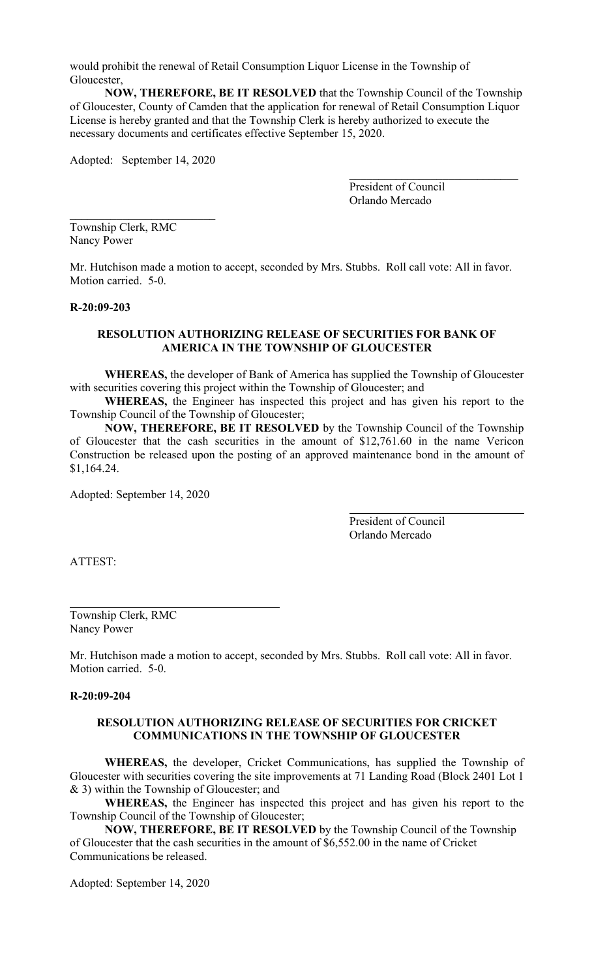would prohibit the renewal of Retail Consumption Liquor License in the Township of Gloucester,

**NOW, THEREFORE, BE IT RESOLVED** that the Township Council of the Township of Gloucester, County of Camden that the application for renewal of Retail Consumption Liquor License is hereby granted and that the Township Clerk is hereby authorized to execute the necessary documents and certificates effective September 15, 2020.

Adopted: September 14, 2020

President of Council Orlando Mercado

 $\mathcal{L}_\mathcal{L}$  , which is a set of the set of the set of the set of the set of the set of the set of the set of the set of the set of the set of the set of the set of the set of the set of the set of the set of the set of

\_\_\_\_\_\_\_\_\_\_\_\_\_\_\_\_\_\_\_\_\_\_\_\_\_ Township Clerk, RMC Nancy Power

Mr. Hutchison made a motion to accept, seconded by Mrs. Stubbs. Roll call vote: All in favor. Motion carried. 5-0.

# **R-20:09-203**

#### **RESOLUTION AUTHORIZING RELEASE OF SECURITIES FOR BANK OF AMERICA IN THE TOWNSHIP OF GLOUCESTER**

**WHEREAS,** the developer of Bank of America has supplied the Township of Gloucester with securities covering this project within the Township of Gloucester; and

**WHEREAS,** the Engineer has inspected this project and has given his report to the Township Council of the Township of Gloucester;

**NOW, THEREFORE, BE IT RESOLVED** by the Township Council of the Township of Gloucester that the cash securities in the amount of \$12,761.60 in the name Vericon Construction be released upon the posting of an approved maintenance bond in the amount of \$1,164.24.

Adopted: September 14, 2020

President of Council Orlando Mercado

ATTEST:

Township Clerk, RMC Nancy Power

Mr. Hutchison made a motion to accept, seconded by Mrs. Stubbs. Roll call vote: All in favor. Motion carried. 5-0.

#### **R-20:09-204**

## **RESOLUTION AUTHORIZING RELEASE OF SECURITIES FOR CRICKET COMMUNICATIONS IN THE TOWNSHIP OF GLOUCESTER**

**WHEREAS,** the developer, Cricket Communications, has supplied the Township of Gloucester with securities covering the site improvements at 71 Landing Road (Block 2401 Lot 1 & 3) within the Township of Gloucester; and

**WHEREAS,** the Engineer has inspected this project and has given his report to the Township Council of the Township of Gloucester;

**NOW, THEREFORE, BE IT RESOLVED** by the Township Council of the Township of Gloucester that the cash securities in the amount of \$6,552.00 in the name of Cricket Communications be released.

Adopted: September 14, 2020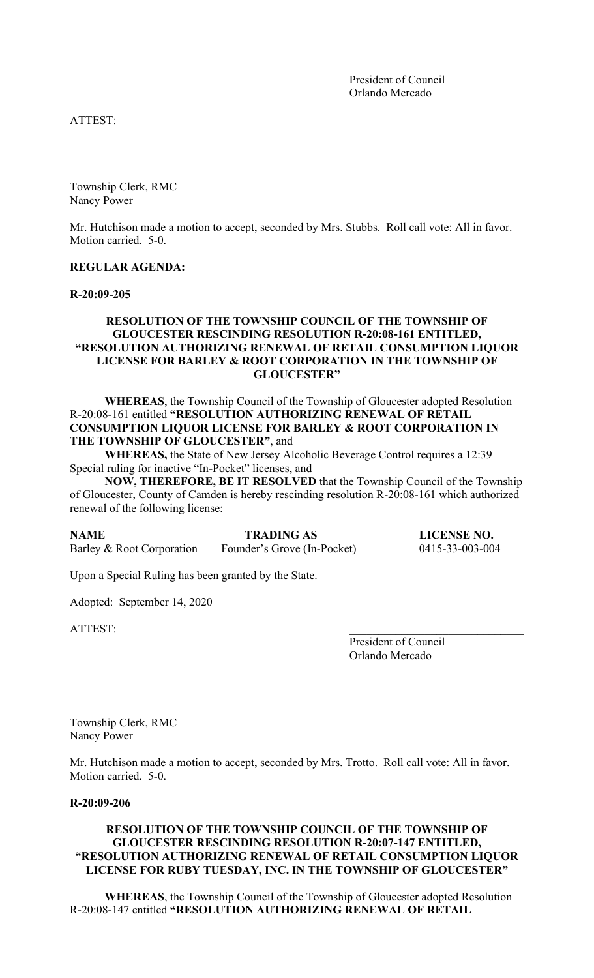President of Council Orlando Mercado

ATTEST:

Township Clerk, RMC Nancy Power

Mr. Hutchison made a motion to accept, seconded by Mrs. Stubbs. Roll call vote: All in favor. Motion carried. 5-0.

#### **REGULAR AGENDA:**

**R-20:09-205**

# **RESOLUTION OF THE TOWNSHIP COUNCIL OF THE TOWNSHIP OF GLOUCESTER RESCINDING RESOLUTION R-20:08-161 ENTITLED, "RESOLUTION AUTHORIZING RENEWAL OF RETAIL CONSUMPTION LIQUOR LICENSE FOR BARLEY & ROOT CORPORATION IN THE TOWNSHIP OF GLOUCESTER"**

**WHEREAS**, the Township Council of the Township of Gloucester adopted Resolution R-20:08-161 entitled **"RESOLUTION AUTHORIZING RENEWAL OF RETAIL CONSUMPTION LIQUOR LICENSE FOR BARLEY & ROOT CORPORATION IN THE TOWNSHIP OF GLOUCESTER"**, and

**WHEREAS,** the State of New Jersey Alcoholic Beverage Control requires a 12:39 Special ruling for inactive "In-Pocket" licenses, and

**NOW, THEREFORE, BE IT RESOLVED** that the Township Council of the Township of Gloucester, County of Camden is hereby rescinding resolution R-20:08-161 which authorized renewal of the following license:

**NAME TRADING AS LICENSE NO.**<br>Barley & Root Corporation Founder's Grove (In-Pocket) 0415-33-003-004 Barley & Root Corporation Founder's Grove (In-Pocket)

Upon a Special Ruling has been granted by the State.

Adopted: September 14, 2020

ATTEST:

President of Council Orlando Mercado

Township Clerk, RMC Nancy Power

Mr. Hutchison made a motion to accept, seconded by Mrs. Trotto. Roll call vote: All in favor. Motion carried. 5-0.

# **R-20:09-206**

## **RESOLUTION OF THE TOWNSHIP COUNCIL OF THE TOWNSHIP OF GLOUCESTER RESCINDING RESOLUTION R-20:07-147 ENTITLED, "RESOLUTION AUTHORIZING RENEWAL OF RETAIL CONSUMPTION LIQUOR LICENSE FOR RUBY TUESDAY, INC. IN THE TOWNSHIP OF GLOUCESTER"**

**WHEREAS**, the Township Council of the Township of Gloucester adopted Resolution R-20:08-147 entitled **"RESOLUTION AUTHORIZING RENEWAL OF RETAIL**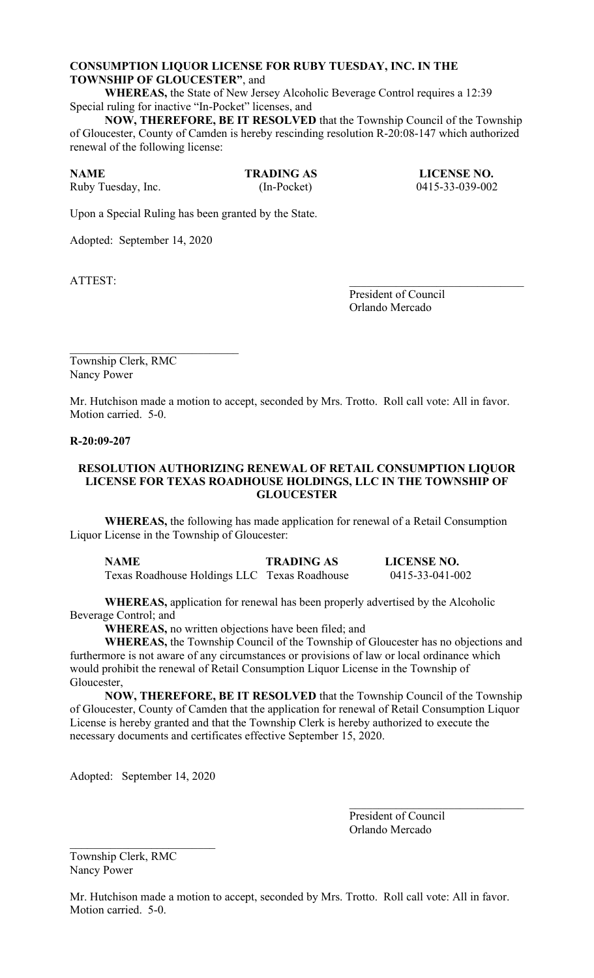# **CONSUMPTION LIQUOR LICENSE FOR RUBY TUESDAY, INC. IN THE TOWNSHIP OF GLOUCESTER"**, and

**WHEREAS,** the State of New Jersey Alcoholic Beverage Control requires a 12:39 Special ruling for inactive "In-Pocket" licenses, and

**NOW, THEREFORE, BE IT RESOLVED** that the Township Council of the Township of Gloucester, County of Camden is hereby rescinding resolution R-20:08-147 which authorized renewal of the following license:

Ruby Tuesday, Inc. (In-Pocket) 0415-33-039-002

**NAME TRADING AS LICENSE NO.**

Upon a Special Ruling has been granted by the State.

Adopted: September 14, 2020

ATTEST:

President of Council Orlando Mercado

 $\mathcal{L}_\mathcal{L}$  , which is a set of the set of the set of the set of the set of the set of the set of the set of the set of the set of the set of the set of the set of the set of the set of the set of the set of the set of Township Clerk, RMC Nancy Power

Mr. Hutchison made a motion to accept, seconded by Mrs. Trotto. Roll call vote: All in favor. Motion carried. 5-0.

#### **R-20:09-207**

#### **RESOLUTION AUTHORIZING RENEWAL OF RETAIL CONSUMPTION LIQUOR LICENSE FOR TEXAS ROADHOUSE HOLDINGS, LLC IN THE TOWNSHIP OF GLOUCESTER**

**WHEREAS,** the following has made application for renewal of a Retail Consumption Liquor License in the Township of Gloucester:

| <b>NAME</b>                                  | <b>TRADING AS</b> | <b>LICENSE NO.</b> |
|----------------------------------------------|-------------------|--------------------|
| Texas Roadhouse Holdings LLC Texas Roadhouse |                   | 0415-33-041-002    |

**WHEREAS,** application for renewal has been properly advertised by the Alcoholic Beverage Control; and

**WHEREAS,** no written objections have been filed; and

**WHEREAS,** the Township Council of the Township of Gloucester has no objections and furthermore is not aware of any circumstances or provisions of law or local ordinance which would prohibit the renewal of Retail Consumption Liquor License in the Township of Gloucester,

**NOW, THEREFORE, BE IT RESOLVED** that the Township Council of the Township of Gloucester, County of Camden that the application for renewal of Retail Consumption Liquor License is hereby granted and that the Township Clerk is hereby authorized to execute the necessary documents and certificates effective September 15, 2020.

Adopted: September 14, 2020

President of Council Orlando Mercado

Township Clerk, RMC Nancy Power

Mr. Hutchison made a motion to accept, seconded by Mrs. Trotto. Roll call vote: All in favor. Motion carried. 5-0.